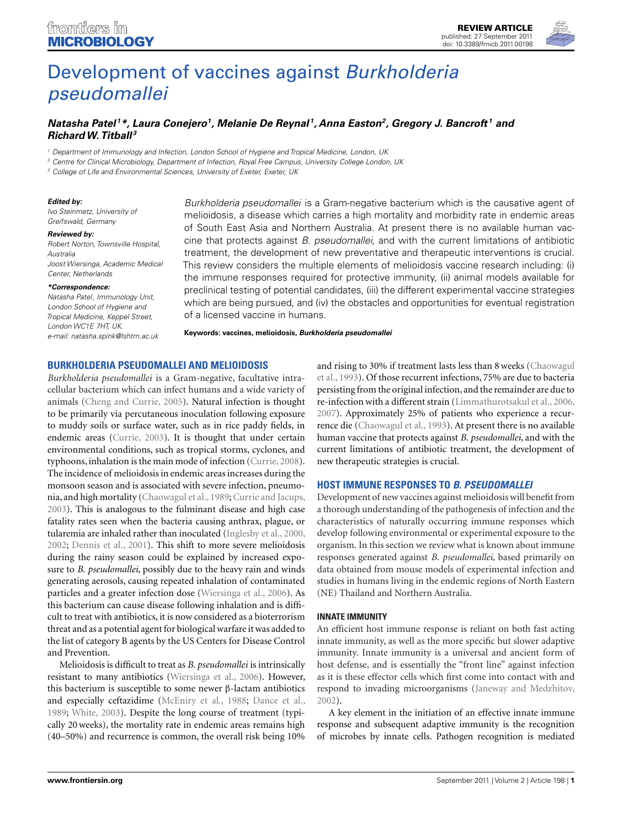

# [Development of vaccines against](http://www.frontiersin.org/Cellular_and_Infection_Microbiology/10.3389/fmicb.2011.00198/abstract) Burkholderia pseudomallei

## *[Natasha Patel](http://www.frontiersin.org/Community/WhosWhoDetails.aspx?UID=36159&d=1&sname=NatashaPatel&name=Science) 1\*, Laura Conejero1, [Melanie De Reynal](http://www.frontiersin.org/Community/WhosWhoDetails.aspx?UID=36405&d=1&sname=MelanieDe_Reynal&name=Science) 1, Anna Easton2, Gregory J. Bancroft <sup>1</sup> and RichardW. Titball <sup>3</sup>*

<sup>1</sup> Department of Immunology and Infection, London School of Hygiene and Tropical Medicine, London, UK

<sup>2</sup> Centre for Clinical Microbiology, Department of Infection, Royal Free Campus, University College London, UK

<sup>3</sup> College of Life and Environmental Sciences, University of Exeter, Exeter, UK

#### *Edited by:*

Ivo Steinmetz, University of Greifswald, Germany

#### *Reviewed by:*

Robert Norton, Townsville Hospital, Australia Joost Wiersinga, Academic Medical Center, Netherlands

#### *\*Correspondence:*

Natasha Patel, Immunology Unit, London School of Hygiene and Tropical Medicine, Keppel Street, London WC1E 7HT, UK. e-mail: [natasha.spink@lshtm.ac.uk](mailto:natasha.spink@lshtm.ac.uk)

Burkholderia pseudomallei is a Gram-negative bacterium which is the causative agent of melioidosis, a disease which carries a high mortality and morbidity rate in endemic areas of South East Asia and Northern Australia. At present there is no available human vaccine that protects against B. pseudomallei, and with the current limitations of antibiotic treatment, the development of new preventative and therapeutic interventions is crucial. This review considers the multiple elements of melioidosis vaccine research including: (i) the immune responses required for protective immunity, (ii) animal models available for preclinical testing of potential candidates, (iii) the different experimental vaccine strategies which are being pursued, and (iv) the obstacles and opportunities for eventual registration of a licensed vaccine in humans.

**Keywords: vaccines, melioidosis,** *Burkholderia pseudomallei*

#### **BURKHOLDERIA PSEUDOMALLEI AND MELIOIDOSIS**

*Burkholderia pseudomallei* is a Gram-negative, facultative intracellular bacterium which can infect humans and a wide variety of animals [\(Cheng and Currie](#page-10-0), [2005\)](#page-10-0). Natural infection is thought to be primarily via percutaneous inoculation following exposure to muddy soils or surface water, such as in rice paddy fields, in endemic areas [\(Currie, 2003\)](#page-10-0). It is thought that under certain environmental conditions, such as tropical storms, cyclones, and typhoons, inhalation is the main mode of infection [\(Currie](#page-10-0), [2008](#page-10-0)). The incidence of melioidosis in endemic areas increases during the monsoon season and is associated with severe infection, pneumo-nia, and high mortality [\(Chaowagul et al., 1989](#page-10-0); [Currie and Jacups,](#page-11-0) [2003\)](#page-11-0). This is analogous to the fulminant disease and high case fatality rates seen when the bacteria causing anthrax, plague, or tularemia are inhaled rather than inoculated [\(Inglesby et al., 2000,](#page-12-0) [2002;](#page-12-0) [Dennis et al., 2001\)](#page-11-0). This shift to more severe melioidosis during the rainy season could be explained by increased exposure to *B. pseudomallei*, possibly due to the heavy rain and winds generating aerosols, causing repeated inhalation of contaminated particles and a greater infection dose [\(Wiersinga et al.](#page-14-0), [2006](#page-14-0)). As this bacterium can cause disease following inhalation and is difficult to treat with antibiotics, it is now considered as a bioterrorism threat and as a potential agent for biological warfare it was added to the list of category B agents by the US Centers for Disease Control and Prevention.

Melioidosis is difficult to treat as *B. pseudomallei* is intrinsically resistant to many antibiotics [\(Wiersinga et al., 2006](#page-14-0)). However, this bacterium is susceptible to some newer β-lactam antibiotics and especially ceftazidime [\(McEniry et al., 1988;](#page-12-0) [Dance et al.,](#page-11-0) [1989;](#page-11-0) [White, 2003](#page-14-0)). Despite the long course of treatment (typically 20 weeks), the mortality rate in endemic areas remains high (40–50%) and recurrence is common, the overall risk being 10%

and [rising to 30% if treatment lasts less than 8 weeks \(](#page-10-0)Chaowagul et al., [1993\)](#page-10-0). Of those recurrent infections, 75% are due to bacteria persisting from the original infection, and the remainder are due to re-infection with a different strain [\(Limmathurotsakul et al., 2006,](#page-12-0) [2007\)](#page-12-0). Approximately 25% of patients who experience a recurrence die [\(Chaowagul et al.](#page-10-0), [1993](#page-10-0)). At present there is no available human vaccine that protects against *B. pseudomallei*, and with the current limitations of antibiotic treatment, the development of new therapeutic strategies is crucial.

#### **HOST IMMUNE RESPONSES TO** *B. PSEUDOMALLEI*

Development of new vaccines against melioidosis will benefit from a thorough understanding of the pathogenesis of infection and the characteristics of naturally occurring immune responses which develop following environmental or experimental exposure to the organism. In this section we review what is known about immune responses generated against *B. pseudomallei*, based primarily on data obtained from mouse models of experimental infection and studies in humans living in the endemic regions of North Eastern (NE) Thailand and Northern Australia.

#### **INNATE IMMUNITY**

An efficient host immune response is reliant on both fast acting innate immunity, as well as the more specific but slower adaptive immunity. Innate immunity is a universal and ancient form of host defense, and is essentially the "front line" against infection as it is these effector cells which first come into contact with and respond to invading microorganisms [\(Janeway and Medzhitov,](#page-12-0) [2002\)](#page-12-0).

A key element in the initiation of an effective innate immune response and subsequent adaptive immunity is the recognition of microbes by innate cells. Pathogen recognition is mediated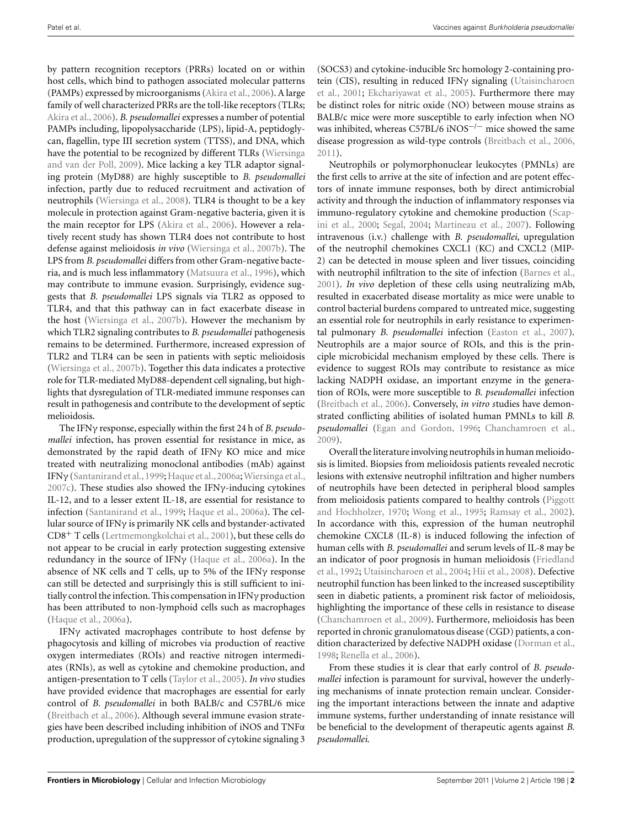by pattern recognition receptors (PRRs) located on or within host cells, which bind to pathogen associated molecular patterns (PAMPs) expressed by microorganisms [\(Akira et al., 2006\)](#page-10-0). A large family of well characterized PRRs are the toll-like receptors (TLRs; [Akira et al.](#page-10-0), [2006](#page-10-0)). *B. pseudomallei* expresses a number of potential PAMPs including, lipopolysaccharide (LPS), lipid-A, peptidoglycan, flagellin, type III secretion system (TTSS), and DNA, which have the potential to be recognized by different TLRs (Wiersinga and van der Poll, [2009\)](#page-14-0). Mice lacking a key TLR adaptor signaling protein (MyD88) are highly susceptible to *B. pseudomallei* infection, partly due to reduced recruitment and activation of neutrophils [\(Wiersinga et al., 2008\)](#page-14-0). TLR4 is thought to be a key molecule in protection against Gram-negative bacteria, given it is the main receptor for LPS [\(Akira et al.](#page-10-0), [2006\)](#page-10-0). However a relatively recent study has shown TLR4 does not contribute to host defense against melioidosis *in vivo* [\(Wiersinga et al.](#page-14-0), [2007b\)](#page-14-0). The LPS from *B. pseudomallei* differs from other Gram-negative bacteria, and is much less inflammatory [\(Matsuura et al., 1996](#page-12-0)), which may contribute to immune evasion. Surprisingly, evidence suggests that *B. pseudomallei* LPS signals via TLR2 as opposed to TLR4, and that this pathway can in fact exacerbate disease in the host [\(Wiersinga et al., 2007b](#page-14-0)). However the mechanism by which TLR2 signaling contributes to *B. pseudomallei* pathogenesis remains to be determined. Furthermore, increased expression of TLR2 and TLR4 can be seen in patients with septic melioidosis [\(Wiersinga et al., 2007b](#page-14-0)). Together this data indicates a protective role for TLR-mediated MyD88-dependent cell signaling, but highlights that dysregulation of TLR-mediated immune responses can result in pathogenesis and contribute to the development of septic melioidosis.

The IFNγ response, especially within the first 24 h of *B. pseudomallei* infection, has proven essential for resistance in mice, as demonstrated by the rapid death of IFNγ KO mice and mice treated with neutralizing monoclonal antibodies (mAb) against IFNγ [\(Santanirand et al.](#page-13-0), [1999;](#page-13-0) [Haque et al.](#page-11-0), [2006a;](#page-11-0) [Wiersinga et al.,](#page-14-0)  $2007c$ ). These studies also showed the IFN $\gamma$ -inducing cytokines IL-12, and to a lesser extent IL-18, are essential for resistance to infection [\(Santanirand et al., 1999](#page-13-0); [Haque et al., 2006a\)](#page-11-0). The cellular source of IFNγ is primarily NK cells and bystander-activated CD8+ T cells [\(Lertmemongkolchai et al., 2001\)](#page-12-0), but these cells do not appear to be crucial in early protection suggesting extensive redundancy in the source of IFNγ [\(Haque et al.](#page-11-0), [2006a\)](#page-11-0). In the absence of NK cells and T cells, up to 5% of the IFNγ response can still be detected and surprisingly this is still sufficient to initially control the infection. This compensation in IFNγ production has been attributed to non-lymphoid cells such as macrophages [\(Haque et al.](#page-11-0), [2006a\)](#page-11-0).

IFNγ activated macrophages contribute to host defense by phagocytosis and killing of microbes via production of reactive oxygen intermediates (ROIs) and reactive nitrogen intermediates (RNIs), as well as cytokine and chemokine production, and antigen-presentation to T cells [\(Taylor et al.](#page-13-0), [2005\)](#page-13-0). *In vivo* studies have provided evidence that macrophages are essential for early control of *B. pseudomallei* in both BALB/c and C57BL/6 mice [\(Breitbach et al., 2006](#page-10-0)). Although several immune evasion strategies have been described including inhibition of iNOS and TNFα production, upregulation of the suppressor of cytokine signaling 3

(SOCS3) and cytokine-inducible Src homology 2-containing protein [\(CIS\), resulting in reduced IFN](#page-14-0)γ signaling (Utaisincharoen et al., [2001](#page-14-0); [Ekchariyawat et al., 2005](#page-11-0)). Furthermore there may be distinct roles for nitric oxide (NO) between mouse strains as BALB/c mice were more susceptible to early infection when NO was inhibited, whereas C57BL/6 iNOS<sup> $-/-$ </sup> mice showed the same disease progression as wild-type controls [\(Breitbach et al., 2006,](#page-10-0) [2011\)](#page-10-0).

Neutrophils or polymorphonuclear leukocytes (PMNLs) are the first cells to arrive at the site of infection and are potent effectors of innate immune responses, both by direct antimicrobial activity and through the induction of inflammatory responses via immuno[-regulatory cytokine and chemokine production \(](#page-13-0)Scapini et al., [2000;](#page-13-0) [Segal, 2004;](#page-13-0) [Martineau et al., 2007\)](#page-12-0). Following intravenous (i.v.) challenge with *B. pseudomallei*, upregulation of the neutrophil chemokines CXCL1 (KC) and CXCL2 (MIP-2) can be detected in mouse spleen and liver tissues, coinciding with neutrophil infiltration to the site of infection [\(Barnes et al.,](#page-10-0) [2001\)](#page-10-0). *In vivo* depletion of these cells using neutralizing mAb, resulted in exacerbated disease mortality as mice were unable to control bacterial burdens compared to untreated mice, suggesting an essential role for neutrophils in early resistance to experimental pulmonary *B. pseudomallei* infection [\(Easton et al., 2007](#page-11-0)). Neutrophils are a major source of ROIs, and this is the principle microbicidal mechanism employed by these cells. There is evidence to suggest ROIs may contribute to resistance as mice lacking NADPH oxidase, an important enzyme in the generation of ROIs, were more susceptible to *B. pseudomallei* infection [\(Breitbach et al.](#page-10-0), [2006\)](#page-10-0). Conversely, *in vitro s*tudies have demonstrated conflicting abilities of isolated human PMNLs to kill *B. pseudomallei* [\(Egan and Gordon](#page-11-0), [1996](#page-11-0); [Chanchamroen et al.,](#page-10-0) [2009\)](#page-10-0).

Overall the literature involving neutrophils in human melioidosis is limited. Biopsies from melioidosis patients revealed necrotic lesions with extensive neutrophil infiltration and higher numbers of neutrophils have been detected in peripheral blood samples from melioidosi[s patients compared to healthy controls \(](#page-13-0)Piggott and Hochholzer, [1970](#page-13-0); [Wong et al.](#page-14-0), [1995](#page-14-0); [Ramsay et al., 2002](#page-13-0)). In accordance with this, expression of the human neutrophil chemokine CXCL8 (IL-8) is induced following the infection of human cells with *B. pseudomallei* and serum levels of IL-8 may be an i[ndicator of poor prognosis in human melioidosis \(](#page-11-0)Friedland et al., [1992;](#page-11-0) [Utaisincharoen et al., 2004;](#page-14-0) [Hii et al., 2008\)](#page-12-0). Defective neutrophil function has been linked to the increased susceptibility seen in diabetic patients, a prominent risk factor of melioidosis, highlighting the importance of these cells in resistance to disease [\(Chanchamroen et al.](#page-10-0), [2009](#page-10-0)). Furthermore, melioidosis has been reported in chronic granulomatous disease (CGD) patients, a condition characterized by defective NADPH oxidase [\(Dorman et al.,](#page-11-0) [1998;](#page-11-0) [Renella et al., 2006](#page-13-0)).

From these studies it is clear that early control of *B. pseudomallei* infection is paramount for survival, however the underlying mechanisms of innate protection remain unclear. Considering the important interactions between the innate and adaptive immune systems, further understanding of innate resistance will be beneficial to the development of therapeutic agents against *B. pseudomallei*.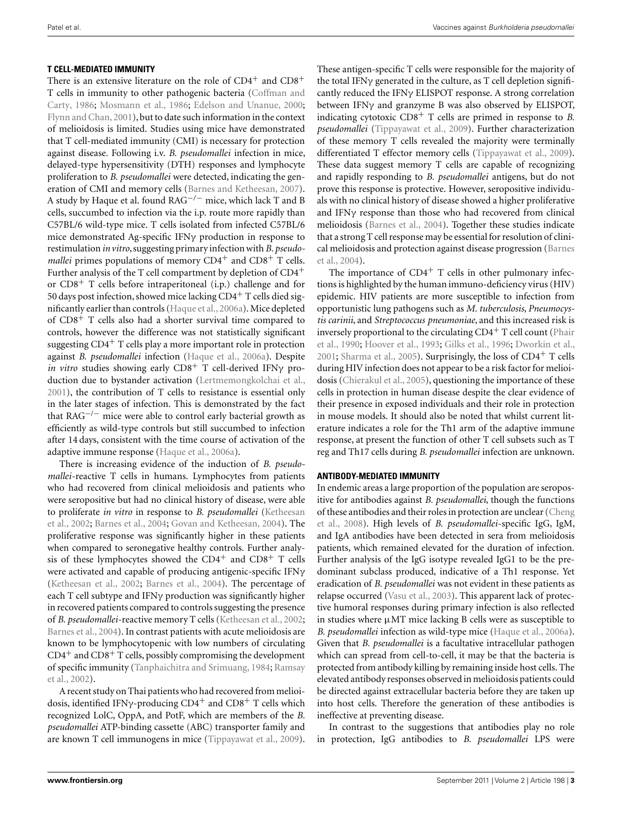#### **T CELL-MEDIATED IMMUNITY**

There is an extensive literature on the role of  $CD4^+$  and  $CD8^+$ T cell[s in immunity to other pathogenic bacteria \(](#page-10-0)Coffman and Carty, [1986](#page-10-0); [Mosmann et al., 1986;](#page-13-0) [Edelson and Unanue](#page-11-0), [2000;](#page-11-0) [Flynn and Chan, 2001\)](#page-11-0), but to date such information in the context of melioidosis is limited. Studies using mice have demonstrated that T cell-mediated immunity (CMI) is necessary for protection against disease. Following i.v. *B. pseudomallei* infection in mice, delayed-type hypersensitivity (DTH) responses and lymphocyte proliferation to *B. pseudomallei* were detected, indicating the generation of CMI and memory cells [\(Barnes and Ketheesan](#page-10-0), [2007](#page-10-0)). A study by Haque et al. found RAG−*/*<sup>−</sup> mice, which lack T and B cells, succumbed to infection via the i.p. route more rapidly than C57BL/6 wild-type mice. T cells isolated from infected C57BL/6 mice demonstrated Ag-specific IFNγ production in response to restimulation *in vitro*, suggesting primary infection with *B. pseudomallei* primes populations of memory  $CD4^+$  and  $CD8^+$  T cells. Further analysis of the T cell compartment by depletion of  $CD4<sup>+</sup>$ or  $CD8<sup>+</sup>$  T cells before intraperitoneal (i.p.) challenge and for 50 days post infection, showed mice lacking  $CD4^+$  T cells died significantly earlier than controls [\(Haque et al.](#page-11-0), [2006a](#page-11-0)). Mice depleted of CD8+ T cells also had a shorter survival time compared to controls, however the difference was not statistically significant suggesting  $CD4^+$  T cells play a more important role in protection against *B. pseudomallei* infection [\(Haque et al., 2006a](#page-11-0)). Despite *in vitro* studies showing early CD8<sup>+</sup> T cell-derived IFNγ production due to bystander activation [\(Lertmemongkolchai et al.,](#page-12-0) [2001\)](#page-12-0), the contribution of T cells to resistance is essential only in the later stages of infection. This is demonstrated by the fact that  $RAG^{-/-}$  mice were able to control early bacterial growth as efficiently as wild-type controls but still succumbed to infection after 14 days, consistent with the time course of activation of the adaptive immune response [\(Haque et al., 2006a](#page-11-0)).

There is increasing evidence of the induction of *B. pseudomallei*-reactive T cells in humans. Lymphocytes from patients who had recovered from clinical melioidosis and patients who were seropositive but had no clinical history of disease, were able to proliferate *in vitro* in response to *[B. pseudomallei](#page-12-0)* (Ketheesan et al., [2002](#page-12-0); [Barnes et al., 2004](#page-10-0); [Govan and Ketheesan](#page-11-0), [2004\)](#page-11-0). The proliferative response was significantly higher in these patients when compared to seronegative healthy controls. Further analysis of these lymphocytes showed the  $CD4^+$  and  $CD8^+$  T cells were activated and capable of producing antigenic-specific IFNγ [\(Ketheesan et al.](#page-12-0), [2002;](#page-12-0) [Barnes et al.](#page-10-0), [2004](#page-10-0)). The percentage of each T cell subtype and IFNγ production was significantly higher in recovered patients compared to controls suggesting the presence of *B. pseudomallei*-reactive memory T cells [\(Ketheesan et al., 2002;](#page-12-0) [Barnes et al., 2004\)](#page-10-0). In contrast patients with acute melioidosis are known to be lymphocytopenic with low numbers of circulating  $CD4^+$  and  $CD8^+$  T cells, possibly compromising the development of s[pecific immunity \(Tanphaichitra and Srimuang, 1984;](#page-13-0) Ramsay et al., [2002\)](#page-13-0).

A recent study on Thai patients who had recovered from melioidosis, identified IFNγ-producing  $CD4^+$  and  $CD8^+$  T cells which recognized LolC, OppA, and PotF, which are members of the *B. pseudomallei* ATP-binding cassette (ABC) transporter family and are known T cell immunogens in mice [\(Tippayawat et al.](#page-14-0), [2009](#page-14-0)).

These antigen-specific T cells were responsible for the majority of the total IFNγ generated in the culture, as T cell depletion significantly reduced the IFNγ ELISPOT response. A strong correlation between IFNγ and granzyme B was also observed by ELISPOT, indicating cytotoxic CD8+ T cells are primed in response to *B. pseudomallei* [\(Tippayawat et al.](#page-14-0), [2009\)](#page-14-0). Further characterization of these memory T cells revealed the majority were terminally differentiated T effector memory cells [\(Tippayawat et al., 2009](#page-14-0)). These data suggest memory T cells are capable of recognizing and rapidly responding to *B. pseudomallei* antigens, but do not prove this response is protective. However, seropositive individuals with no clinical history of disease showed a higher proliferative and IFNγ response than those who had recovered from clinical melioidosis [\(Barnes et al.](#page-10-0), [2004](#page-10-0)). Together these studies indicate that a strong T cell response may be essential for resolution of clinical [melioidosis and protection against disease progression \(](#page-10-0)Barnes et al., [2004\)](#page-10-0).

The importance of  $CD4^+$  T cells in other pulmonary infections is highlighted by the human immuno-deficiency virus (HIV) epidemic. HIV patients are more susceptible to infection from opportunistic lung pathogens such as *M. tuberculosis*, *Pneumocystis carinii*, and *Streptococcus pneumoniae*, and this increased risk is inversely proportional to the circulating  $CD4<sup>+</sup>$  T cell count (Phair et al., [1990](#page-13-0); [Hoover et al.](#page-12-0), [1993;](#page-12-0) [Gilks et al., 1996;](#page-11-0) [Dworkin et al.,](#page-11-0) [2001;](#page-11-0) [Sharma et al.](#page-13-0), [2005](#page-13-0)). Surprisingly, the loss of CD4+ T cells during HIV infection does not appear to be a risk factor for melioidosis [\(Chierakul et al., 2005](#page-10-0)), questioning the importance of these cells in protection in human disease despite the clear evidence of their presence in exposed individuals and their role in protection in mouse models. It should also be noted that whilst current literature indicates a role for the Th1 arm of the adaptive immune response, at present the function of other T cell subsets such as T reg and Th17 cells during *B. pseudomallei* infection are unknown.

#### **ANTIBODY-MEDIATED IMMUNITY**

In endemic areas a large proportion of the population are seropositive for antibodies against *B. pseudomallei*, though the functions of th[ese antibodies and their roles in protection are unclear \(](#page-10-0)Cheng et al., [2008](#page-10-0)). High levels of *B. pseudomallei*-specific IgG, IgM, and IgA antibodies have been detected in sera from melioidosis patients, which remained elevated for the duration of infection. Further analysis of the IgG isotype revealed IgG1 to be the predominant subclass produced, indicative of a Th1 response. Yet eradication of *B. pseudomallei* was not evident in these patients as relapse occurred [\(Vasu et al.](#page-14-0), [2003\)](#page-14-0). This apparent lack of protective humoral responses during primary infection is also reflected in studies where μMT mice lacking B cells were as susceptible to *B. pseudomallei* infection as wild-type mice [\(Haque et al., 2006a](#page-11-0)). Given that *B. pseudomallei* is a facultative intracellular pathogen which can spread from cell-to-cell, it may be that the bacteria is protected from antibody killing by remaining inside host cells. The elevated antibody responses observed in melioidosis patients could be directed against extracellular bacteria before they are taken up into host cells. Therefore the generation of these antibodies is ineffective at preventing disease.

In contrast to the suggestions that antibodies play no role in protection, IgG antibodies to *B. pseudomallei* LPS were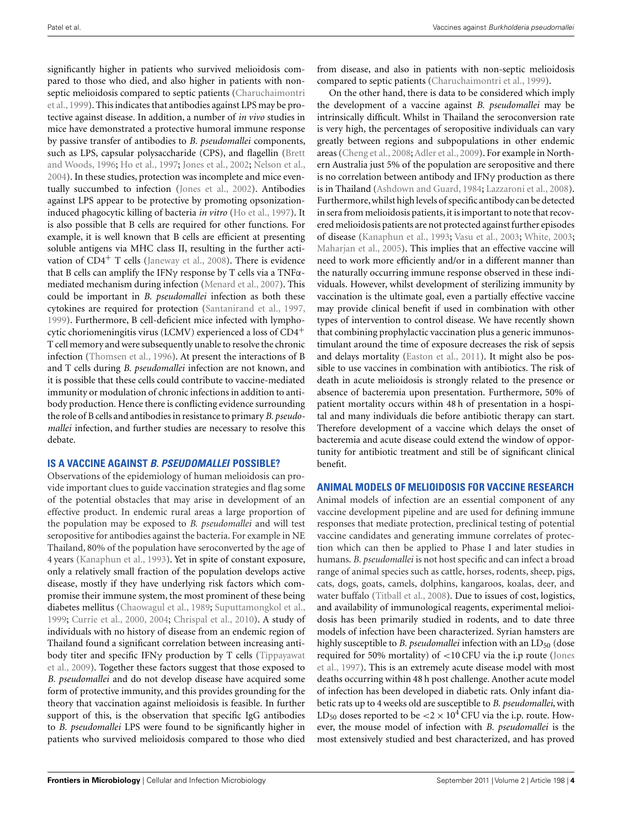significantly higher in patients who survived melioidosis compared to those who died, and also higher in patients with nonsept[ic melioidosis compared to septic patients \(](#page-10-0)Charuchaimontri et al., [1999](#page-10-0)). This indicates that antibodies against LPS may be protective against disease. In addition, a number of *in vivo* studies in mice have demonstrated a protective humoral immune response by passive transfer of antibodies to *B. pseudomallei* components, such as LPS, capsular polysaccharide (CPS), and flagellin (Brett and Woods, [1996;](#page-10-0) [Ho et al., 1997](#page-12-0); [Jones et al., 2002](#page-12-0); [Nelson et al.,](#page-13-0) [2004\)](#page-13-0). In these studies, protection was incomplete and mice eventually succumbed to infection [\(Jones et al.](#page-12-0), [2002\)](#page-12-0). Antibodies against LPS appear to be protective by promoting opsonizationinduced phagocytic killing of bacteria *in vitro* [\(Ho et al., 1997\)](#page-12-0). It is also possible that B cells are required for other functions. For example, it is well known that B cells are efficient at presenting soluble antigens via MHC class II, resulting in the further activation of  $CD4^+$  T cells [\(Janeway et al.](#page-12-0), [2008](#page-12-0)). There is evidence that B cells can amplify the IFN $\gamma$  response by T cells via a TNF $\alpha$ mediated mechanism during infection [\(Menard et al.](#page-12-0), [2007](#page-12-0)). This could be important in *B. pseudomallei* infection as both these cytokines are required for protection [\(Santanirand et al.](#page-13-0), [1997,](#page-13-0) [1999\)](#page-13-0). Furthermore, B cell-deficient mice infected with lymphocytic choriomeningitis virus (LCMV) experienced a loss of CD4+ T cell memory and were subsequently unable to resolve the chronic infection [\(Thomsen et al., 1996\)](#page-13-0). At present the interactions of B and T cells during *B. pseudomallei* infection are not known, and it is possible that these cells could contribute to vaccine-mediated immunity or modulation of chronic infections in addition to antibody production. Hence there is conflicting evidence surrounding the role of B cells and antibodies in resistance to primary *B. pseudomallei* infection, and further studies are necessary to resolve this debate.

### **IS A VACCINE AGAINST** *B. PSEUDOMALLEI* **POSSIBLE?**

Observations of the epidemiology of human melioidosis can provide important clues to guide vaccination strategies and flag some of the potential obstacles that may arise in development of an effective product. In endemic rural areas a large proportion of the population may be exposed to *B. pseudomallei* and will test seropositive for antibodies against the bacteria. For example in NE Thailand, 80% of the population have seroconverted by the age of 4 years [\(Kanaphun et al., 1993](#page-12-0)). Yet in spite of constant exposure, only a relatively small fraction of the population develops active disease, mostly if they have underlying risk factors which compromise their immune system, the most prominent of these being diabetes mellitus [\(Chaowagul et al.](#page-10-0), [1989;](#page-10-0) [Suputtamongkol et al.,](#page-13-0) [1999;](#page-13-0) [Currie et al., 2000](#page-11-0), [2004](#page-11-0); [Chrispal et al., 2010\)](#page-10-0). A study of individuals with no history of disease from an endemic region of Thailand found a significant correlation between increasing antibody titer and specific IFNγ [production](#page-14-0) [by](#page-14-0) [T](#page-14-0) [cells](#page-14-0) [\(](#page-14-0)Tippayawat et al., [2009](#page-14-0)). Together these factors suggest that those exposed to *B. pseudomallei* and do not develop disease have acquired some form of protective immunity, and this provides grounding for the theory that vaccination against melioidosis is feasible. In further support of this, is the observation that specific IgG antibodies to *B. pseudomallei* LPS were found to be significantly higher in patients who survived melioidosis compared to those who died

from disease, and also in patients with non-septic melioidosis compared to septic patients [\(Charuchaimontri et al., 1999\)](#page-10-0).

On the other hand, there is data to be considered which imply the development of a vaccine against *B. pseudomallei* may be intrinsically difficult. Whilst in Thailand the seroconversion rate is very high, the percentages of seropositive individuals can vary greatly between regions and subpopulations in other endemic areas [\(Cheng et al.](#page-10-0), [2008](#page-10-0); [Adler et al., 2009](#page-10-0)). For example in Northern Australia just 5% of the population are seropositive and there is no correlation between antibody and IFNγ production as there is in Thailand [\(Ashdown and Guard, 1984;](#page-10-0) [Lazzaroni et al., 2008](#page-12-0)). Furthermore,whilst high levels of specific antibody can be detected in sera from melioidosis patients, it is important to note that recovered melioidosis patients are not protected against further episodes of disease [\(Kanaphun et al.](#page-12-0), [1993](#page-12-0); [Vasu et al.](#page-14-0), [2003](#page-14-0); [White, 2003;](#page-14-0) [Maharjan et al.](#page-12-0), [2005](#page-12-0)). This implies that an effective vaccine will need to work more efficiently and/or in a different manner than the naturally occurring immune response observed in these individuals. However, whilst development of sterilizing immunity by vaccination is the ultimate goal, even a partially effective vaccine may provide clinical benefit if used in combination with other types of intervention to control disease. We have recently shown that combining prophylactic vaccination plus a generic immunostimulant around the time of exposure decreases the risk of sepsis and delays mortality [\(Easton et al.](#page-11-0), [2011\)](#page-11-0). It might also be possible to use vaccines in combination with antibiotics. The risk of death in acute melioidosis is strongly related to the presence or absence of bacteremia upon presentation. Furthermore, 50% of patient mortality occurs within 48 h of presentation in a hospital and many individuals die before antibiotic therapy can start. Therefore development of a vaccine which delays the onset of bacteremia and acute disease could extend the window of opportunity for antibiotic treatment and still be of significant clinical benefit.

### **ANIMAL MODELS OF MELIOIDOSIS FOR VACCINE RESEARCH**

Animal models of infection are an essential component of any vaccine development pipeline and are used for defining immune responses that mediate protection, preclinical testing of potential vaccine candidates and generating immune correlates of protection which can then be applied to Phase I and later studies in humans. *B. pseudomallei* is not host specific and can infect a broad range of animal species such as cattle, horses, rodents, sheep, pigs, cats, dogs, goats, camels, dolphins, kangaroos, koalas, deer, and water buffalo [\(Titball et al., 2008](#page-14-0)). Due to issues of cost, logistics, and availability of immunological reagents, experimental melioidosis has been primarily studied in rodents, and to date three models of infection have been characterized. Syrian hamsters are highly susceptible to *B. pseudomallei* infection with an LD<sub>50</sub> (dose requ[ired](#page-12-0) [for](#page-12-0) [50%](#page-12-0) [mortality\)](#page-12-0) [of](#page-12-0) <10 CFU via the i.p route (Jones et al., [1997\)](#page-12-0). This is an extremely acute disease model with most deaths occurring within 48 h post challenge. Another acute model of infection has been developed in diabetic rats. Only infant diabetic rats up to 4 weeks old are susceptible to *B. pseudomallei*, with LD<sub>50</sub> doses reported to be  $<$ 2  $\times$  10<sup>4</sup> CFU via the i.p. route. However, the mouse model of infection with *B. pseudomallei* is the most extensively studied and best characterized, and has proved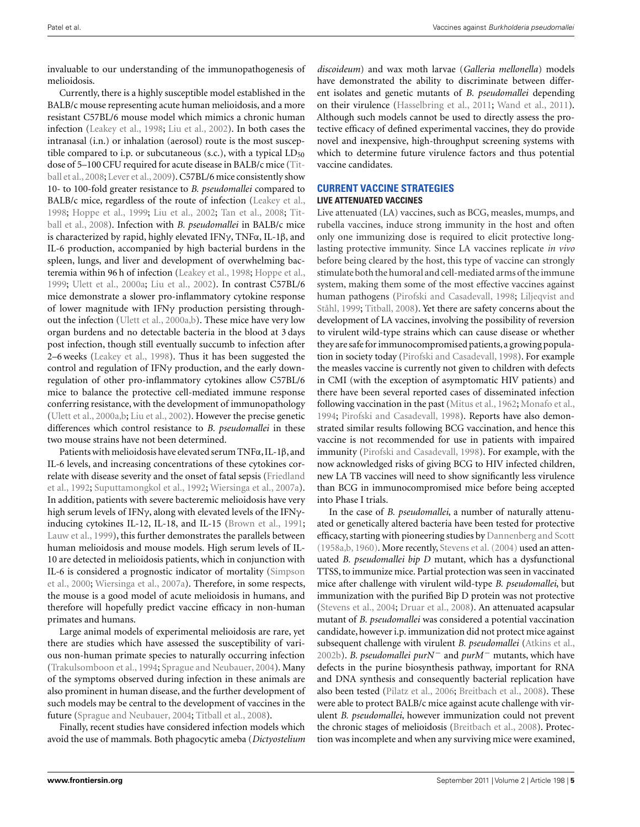invaluable to our understanding of the immunopathogenesis of melioidosis.

Currently, there is a highly susceptible model established in the BALB/c mouse representing acute human melioidosis, and a more resistant C57BL/6 mouse model which mimics a chronic human infection [\(Leakey et al., 1998;](#page-12-0) [Liu et al.](#page-12-0), [2002\)](#page-12-0). In both cases the intranasal (i.n.) or inhalation (aerosol) route is the most susceptible compared to i.p. or subcutaneous (s.c.), with a typical  $LD_{50}$ dose of [5–100 CFU required for acute disease in BALB/c mice \(](#page-14-0)Titball et al.[, 2008;](#page-14-0) [Lever et al., 2009](#page-12-0)). C57BL/6 mice consistently show 10- to 100-fold greater resistance to *B. pseudomallei* compared to BALB/c mice, regardless of the route of infection [\(Leakey et al.,](#page-12-0) [1998;](#page-12-0) [Hoppe et al.](#page-12-0)[,](#page-14-0) [1999](#page-12-0)[;](#page-14-0) [Liu et al.](#page-12-0), [2002;](#page-12-0) [Tan et al.](#page-13-0), [2008;](#page-13-0) Titball et al., [2008\)](#page-14-0). Infection with *B. pseudomallei* in BALB/c mice is characterized by rapid, highly elevated IFNγ, TNFα, IL-1β, and IL-6 production, accompanied by high bacterial burdens in the spleen, lungs, and liver and development of overwhelming bacteremia within 96 h of infection [\(Leakey et al., 1998](#page-12-0); [Hoppe et al.,](#page-12-0) [1999;](#page-12-0) [Ulett et al., 2000a;](#page-14-0) [Liu et al., 2002](#page-12-0)). In contrast C57BL/6 mice demonstrate a slower pro-inflammatory cytokine response of lower magnitude with IFNγ production persisting throughout the infection [\(Ulett et al.](#page-14-0), [2000a,b\)](#page-14-0). These mice have very low organ burdens and no detectable bacteria in the blood at 3 days post infection, though still eventually succumb to infection after 2–6 weeks [\(Leakey et al.](#page-12-0), [1998](#page-12-0)). Thus it has been suggested the control and regulation of IFNγ production, and the early downregulation of other pro-inflammatory cytokines allow C57BL/6 mice to balance the protective cell-mediated immune response conferring resistance, with the development of immunopathology [\(Ulett et al., 2000a,b;](#page-14-0) [Liu et al.](#page-12-0), [2002](#page-12-0)). However the precise genetic differences which control resistance to *B. pseudomallei* in these two mouse strains have not been determined.

Patients with melioidosis have elevated serum TNFα, IL-1β, and IL-6 levels, and increasing concentrations of these cytokines correlat[e with disease severity and the onset of fatal sepsis \(](#page-11-0)Friedland et al., [1992;](#page-11-0) [Suputtamongkol et al.](#page-13-0), [1992;](#page-13-0) [Wiersinga et al., 2007a](#page-14-0)). In addition, patients with severe bacteremic melioidosis have very high serum levels of IFNγ, along with elevated levels of the IFNγinducing cytokines IL-12, IL-18, and IL-15 [\(Brown et al.](#page-10-0), [1991;](#page-10-0) [Lauw et al., 1999\)](#page-12-0), this further demonstrates the parallels between human melioidosis and mouse models. High serum levels of IL-10 are detected in melioidosis patients, which in conjunction with IL-6 is considered a prognostic indicator of mortality (Simpson et al., [2000](#page-13-0); [Wiersinga et al.](#page-14-0), [2007a\)](#page-14-0). Therefore, in some respects, the mouse is a good model of acute melioidosis in humans, and therefore will hopefully predict vaccine efficacy in non-human primates and humans.

Large animal models of experimental melioidosis are rare, yet there are studies which have assessed the susceptibility of various non-human primate species to naturally occurring infection [\(Trakulsomboon et al., 1994;](#page-14-0) [Sprague and Neubauer, 2004\)](#page-13-0). Many of the symptoms observed during infection in these animals are also prominent in human disease, and the further development of such models may be central to the development of vaccines in the future [\(Sprague and Neubauer, 2004](#page-13-0); [Titball et al.](#page-14-0), [2008\)](#page-14-0).

Finally, recent studies have considered infection models which avoid the use of mammals. Both phagocytic ameba (*Dictyostelium*

*discoideum*) and wax moth larvae (*Galleria mellonella*) models have demonstrated the ability to discriminate between different isolates and genetic mutants of *B. pseudomallei* depending on their virulence [\(Hasselbring et al.](#page-11-0), [2011;](#page-11-0) [Wand et al., 2011](#page-14-0)). Although such models cannot be used to directly assess the protective efficacy of defined experimental vaccines, they do provide novel and inexpensive, high-throughput screening systems with which to determine future virulence factors and thus potential vaccine candidates.

## **CURRENT VACCINE STRATEGIES**

#### **LIVE ATTENUATED VACCINES**

Live attenuated (LA) vaccines, such as BCG, measles, mumps, and rubella vaccines, induce strong immunity in the host and often only one immunizing dose is required to elicit protective longlasting protective immunity. Since LA vaccines replicate *in vivo* before being cleared by the host, this type of vaccine can strongly stimulate both the humoral and cell-mediated arms of the immune system, making them some of the most effective vaccines against hum[an pathogens](#page-12-0) [\(Pirofski and Casadevall](#page-13-0)[,](#page-12-0) [1998;](#page-13-0) Liljeqvist and Ståhl, [1999;](#page-12-0) [Titball](#page-14-0), [2008\)](#page-14-0). Yet there are safety concerns about the development of LA vaccines, involving the possibility of reversion to virulent wild-type strains which can cause disease or whether they are safe for immunocompromised patients, a growing population in society today [\(Pirofski and Casadevall](#page-13-0), [1998](#page-13-0)). For example the measles vaccine is currently not given to children with defects in CMI (with the exception of asymptomatic HIV patients) and there have been several reported cases of disseminated infection following vaccination in the past [\(Mitus et al.](#page-12-0), [1962](#page-12-0); [Monafo et al.,](#page-12-0) [1994;](#page-12-0) [Pirofski and Casadevall, 1998](#page-13-0)). Reports have also demonstrated similar results following BCG vaccination, and hence this vaccine is not recommended for use in patients with impaired immunity [\(Pirofski and Casadevall](#page-13-0), [1998\)](#page-13-0). For example, with the now acknowledged risks of giving BCG to HIV infected children, new LA TB vaccines will need to show significantly less virulence than BCG in immunocompromised mice before being accepted into Phase I trials.

In the case of *B. pseudomallei*, a number of naturally attenuated or genetically altered bacteria have been tested for protective efficacy, starting with pioneering studies by [Dannenberg and Scott](#page-11-0) [\(1958a,b](#page-11-0), [1960](#page-11-0)). More recently, [Stevens et al.](#page-13-0) [\(2004\)](#page-13-0) used an attenuated *B. pseudomallei bip D* mutant, which has a dysfunctional TTSS, to immunize mice. Partial protection was seen in vaccinated mice after challenge with virulent wild-type *B. pseudomallei*, but immunization with the purified Bip D protein was not protective [\(Stevens et al., 2004](#page-13-0); [Druar et al.](#page-11-0), [2008\)](#page-11-0). An attenuated acapsular mutant of *B. pseudomallei* was considered a potential vaccination candidate, however i.p. immunization did not protect mice against subsequent challenge with virulent *B. pseudomallei* [\(Atkins et al.,](#page-10-0) [2002b](#page-10-0)). *B. pseudomallei purN<sup>−</sup>* and *purM<sup>−</sup>* mutants, which have defects in the purine biosynthesis pathway, important for RNA and DNA synthesis and consequently bacterial replication have also been tested [\(Pilatz et al., 2006](#page-13-0); [Breitbach et al., 2008](#page-10-0)). These were able to protect BALB/c mice against acute challenge with virulent *B. pseudomallei*, however immunization could not prevent the chronic stages of melioidosis [\(Breitbach et al.](#page-10-0), [2008\)](#page-10-0). Protection was incomplete and when any surviving mice were examined,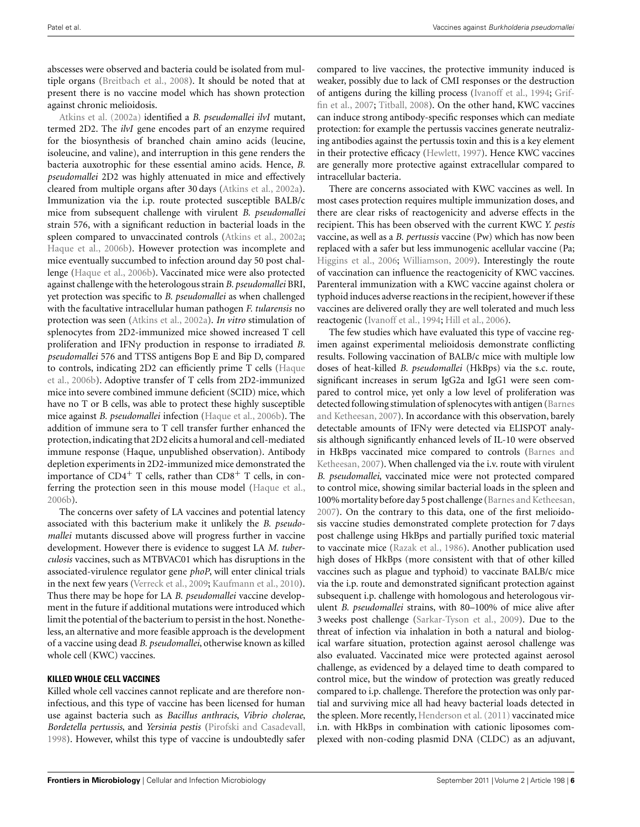abscesses were observed and bacteria could be isolated from multiple organs [\(Breitbach et al., 2008\)](#page-10-0). It should be noted that at present there is no vaccine model which has shown protection [against](#page-10-0) [chronic](#page-10-0) melioidosis.

Atkins et al. [\(2002a](#page-10-0)) identified a *B. pseudomallei ilvI* mutant, termed 2D2. The *ilvI* gene encodes part of an enzyme required for the biosynthesis of branched chain amino acids (leucine, isoleucine, and valine), and interruption in this gene renders the bacteria auxotrophic for these essential amino acids. Hence, *B. pseudomallei* 2D2 was highly attenuated in mice and effectively cleared from multiple organs after 30 days [\(Atkins et al.](#page-10-0), [2002a](#page-10-0)). Immunization via the i.p. route protected susceptible BALB/c mice from subsequent challenge with virulent *B. pseudomallei* strain 576, with a significant reduction in bacterial loads in the spleen compared to unvaccinated controls [\(Atkins et al.](#page-10-0), [2002a;](#page-10-0) [Haque et al., 2006b\)](#page-11-0). However protection was incomplete and mice eventually succumbed to infection around day 50 post challenge [\(Haque et al., 2006b](#page-11-0)). Vaccinated mice were also protected against challenge with the heterologous strain *B. pseudomallei* BRI, yet protection was specific to *B. pseudomallei* as when challenged with the facultative intracellular human pathogen *F. tularensis* no protection was seen [\(Atkins et al., 2002a\)](#page-10-0). *In vitro* stimulation of splenocytes from 2D2-immunized mice showed increased T cell proliferation and IFNγ production in response to irradiated *B. pseudomallei* 576 and TTSS antigens Bop E and Bip D, compared to c[ontrols,](#page-11-0) [indicating](#page-11-0) [2D2](#page-11-0) [can](#page-11-0) [efficiently](#page-11-0) [prime](#page-11-0) [T](#page-11-0) [cells](#page-11-0) [\(](#page-11-0)Haque et al., [2006b\)](#page-11-0). Adoptive transfer of T cells from 2D2-immunized mice into severe combined immune deficient (SCID) mice, which have no T or B cells, was able to protect these highly susceptible mice against *B. pseudomallei* infection [\(Haque et al., 2006b\)](#page-11-0). The addition of immune sera to T cell transfer further enhanced the protection,indicating that 2D2 elicits a humoral and cell-mediated immune response (Haque, unpublished observation). Antibody depletion experiments in 2D2-immunized mice demonstrated the importance of  $CD4^+$  T cells, rather than  $CD8^+$  T cells, in conferring the protection seen in this mouse model [\(Haque et al.,](#page-11-0) [2006b](#page-11-0)).

The concerns over safety of LA vaccines and potential latency associated with this bacterium make it unlikely the *B. pseudomallei* mutants discussed above will progress further in vaccine development. However there is evidence to suggest LA *M. tuberculosis* vaccines, such as MTBVAC01 which has disruptions in the associated-virulence regulator gene *phoP*, will enter clinical trials in the next few years [\(Verreck et al., 2009;](#page-14-0) [Kaufmann et al., 2010](#page-12-0)). Thus there may be hope for LA *B. pseudomallei* vaccine development in the future if additional mutations were introduced which limit the potential of the bacterium to persist in the host. Nonetheless, an alternative and more feasible approach is the development of a vaccine using dead *B. pseudomallei*, otherwise known as killed whole cell (KWC) vaccines.

#### **KILLED WHOLE CELL VACCINES**

Killed whole cell vaccines cannot replicate and are therefore noninfectious, and this type of vaccine has been licensed for human use against bacteria such as *Bacillus anthracis*, *Vibrio cholerae*, *Bordetella pertussis*, and *Yersinia pestis* [\(Pirofski and Casadevall,](#page-13-0) [1998\)](#page-13-0). However, whilst this type of vaccine is undoubtedly safer

compared to live vaccines, the protective immunity induced is weaker, possibly due to lack of CMI responses or the destruction of antig[ens during the killing process](#page-11-0) [\(Ivanoff et al., 1994](#page-12-0)[;](#page-11-0) Griffin et al., [2007;](#page-11-0) [Titball](#page-14-0), [2008](#page-14-0)). On the other hand, KWC vaccines can induce strong antibody-specific responses which can mediate protection: for example the pertussis vaccines generate neutralizing antibodies against the pertussis toxin and this is a key element in their protective efficacy [\(Hewlett, 1997\)](#page-11-0). Hence KWC vaccines are generally more protective against extracellular compared to intracellular bacteria.

There are concerns associated with KWC vaccines as well. In most cases protection requires multiple immunization doses, and there are clear risks of reactogenicity and adverse effects in the recipient. This has been observed with the current KWC *Y. pestis* vaccine, as well as a *B. pertussis* vaccine (Pw) which has now been replaced with a safer but less immunogenic acellular vaccine (Pa; [Higgins et al.](#page-12-0), [2006;](#page-12-0) [Williamson](#page-14-0), [2009](#page-14-0)). Interestingly the route of vaccination can influence the reactogenicity of KWC vaccines. Parenteral immunization with a KWC vaccine against cholera or typhoid induces adverse reactions in the recipient, however if these vaccines are delivered orally they are well tolerated and much less reactogenic [\(Ivanoff et al.](#page-12-0), [1994;](#page-12-0) [Hill et al., 2006](#page-12-0)).

The few studies which have evaluated this type of vaccine regimen against experimental melioidosis demonstrate conflicting results. Following vaccination of BALB/c mice with multiple low doses of heat-killed *B. pseudomallei* (HkBps) via the s.c. route, significant increases in serum IgG2a and IgG1 were seen compared to control mice, yet only a low level of proliferation was detected follo[wing stimulation of splenocytes with antigen \(](#page-10-0)Barnes and Ketheesan, [2007](#page-10-0)). In accordance with this observation, barely detectable amounts of IFNγ were detected via ELISPOT analysis although significantly enhanced levels of IL-10 were observed in HkBps [vaccinated mice compared to controls \(](#page-10-0)Barnes and Ketheesan, [2007\)](#page-10-0). When challenged via the i.v. route with virulent *B. pseudomallei*, vaccinated mice were not protected compared to control mice, showing similar bacterial loads in the spleen and 100% mortality before day 5 post challenge [\(Barnes and Ketheesan,](#page-10-0) [2007\)](#page-10-0). On the contrary to this data, one of the first melioidosis vaccine studies demonstrated complete protection for 7 days post challenge using HkBps and partially purified toxic material to vaccinate mice [\(Razak et al.](#page-13-0), [1986](#page-13-0)). Another publication used high doses of HkBps (more consistent with that of other killed vaccines such as plague and typhoid) to vaccinate BALB/c mice via the i.p. route and demonstrated significant protection against subsequent i.p. challenge with homologous and heterologous virulent *B. pseudomallei* strains, with 80–100% of mice alive after 3 weeks post challenge [\(Sarkar-Tyson et al.](#page-13-0), [2009\)](#page-13-0). Due to the threat of infection via inhalation in both a natural and biological warfare situation, protection against aerosol challenge was also evaluated. Vaccinated mice were protected against aerosol challenge, as evidenced by a delayed time to death compared to control mice, but the window of protection was greatly reduced compared to i.p. challenge. Therefore the protection was only partial and surviving mice all had heavy bacterial loads detected in the spleen. More recently, [Henderson et al.](#page-11-0) [\(2011\)](#page-11-0) vaccinated mice i.n. with HkBps in combination with cationic liposomes complexed with non-coding plasmid DNA (CLDC) as an adjuvant,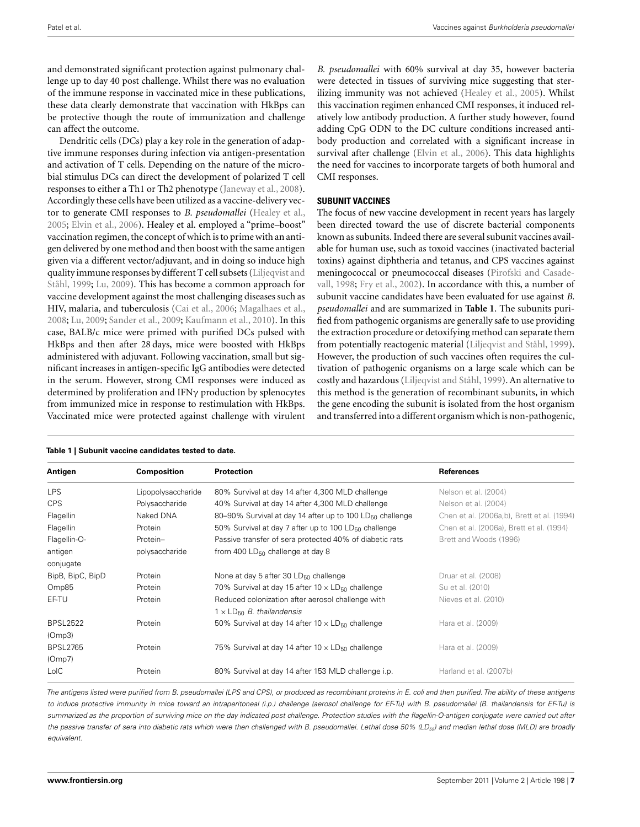and demonstrated significant protection against pulmonary challenge up to day 40 post challenge. Whilst there was no evaluation of the immune response in vaccinated mice in these publications, these data clearly demonstrate that vaccination with HkBps can be protective though the route of immunization and challenge can affect the outcome.

Dendritic cells (DCs) play a key role in the generation of adaptive immune responses during infection via antigen-presentation and activation of T cells. Depending on the nature of the microbial stimulus DCs can direct the development of polarized T cell responses to either a Th1 or Th2 phenotype [\(Janeway et al.](#page-12-0), [2008](#page-12-0)). Accordingly these cells have been utilized as a vaccine-delivery vector to generate CMI responses to *B. pseudomallei* [\(Healey et al.,](#page-11-0) [2005;](#page-11-0) [Elvin et al.](#page-11-0), [2006](#page-11-0)). Healey et al. employed a "prime–boost" vaccination regimen, the concept of which is to prime with an antigen delivered by one method and then boost with the same antigen given via a different vector/adjuvant, and in doing so induce high qual[ity immune responses by different T cell subsets \(](#page-12-0)Liljeqvist and Ståhl, [1999](#page-12-0); [Lu, 2009\)](#page-12-0). This has become a common approach for vaccine development against the most challenging diseases such as HIV, malaria, and tuberculosis [\(Cai et al., 2006](#page-10-0); [Magalhaes et al.,](#page-12-0) [2008;](#page-12-0) [Lu, 2009](#page-12-0); [Sander et al., 2009;](#page-13-0) [Kaufmann et al.](#page-12-0), [2010\)](#page-12-0). In this case, BALB/c mice were primed with purified DCs pulsed with HkBps and then after 28 days, mice were boosted with HkBps administered with adjuvant. Following vaccination, small but significant increases in antigen-specific IgG antibodies were detected in the serum. However, strong CMI responses were induced as determined by proliferation and IFNγ production by splenocytes from immunized mice in response to restimulation with HkBps. Vaccinated mice were protected against challenge with virulent

*B. pseudomallei* with 60% survival at day 35, however bacteria were detected in tissues of surviving mice suggesting that sterilizing immunity was not achieved [\(Healey et al., 2005](#page-11-0)). Whilst this vaccination regimen enhanced CMI responses, it induced relatively low antibody production. A further study however, found adding CpG ODN to the DC culture conditions increased antibody production and correlated with a significant increase in survival after challenge [\(Elvin et al., 2006\)](#page-11-0). This data highlights the need for vaccines to incorporate targets of both humoral and CMI responses.

#### **SUBUNIT VACCINES**

The focus of new vaccine development in recent years has largely been directed toward the use of discrete bacterial components known as subunits. Indeed there are several subunit vaccines available for human use, such as toxoid vaccines (inactivated bacterial toxins) against diphtheria and tetanus, and CPS vaccines against me[ningococcal or pneumococcal diseases \(](#page-13-0)Pirofski and Casadevall, [1998](#page-13-0); [Fry et al., 2002](#page-11-0)). In accordance with this, a number of subunit vaccine candidates have been evaluated for use against *B. pseudomallei* and are summarized in **Table 1**. The subunits purified from pathogenic organisms are generally safe to use providing the extraction procedure or detoxifying method can separate them from potentially reactogenic material [\(Liljeqvist and Ståhl, 1999](#page-12-0)). However, the production of such vaccines often requires the cultivation of pathogenic organisms on a large scale which can be costly and hazardous [\(Liljeqvist and Ståhl](#page-12-0), [1999](#page-12-0)). An alternative to this method is the generation of recombinant subunits, in which the gene encoding the subunit is isolated from the host organism and transferred into a different organism which is non-pathogenic,

| Antigen          | <b>Composition</b> | <b>Protection</b>                                                    | <b>References</b>                          |
|------------------|--------------------|----------------------------------------------------------------------|--------------------------------------------|
| <b>LPS</b>       | Lipopolysaccharide | 80% Survival at day 14 after 4,300 MLD challenge                     | Nelson et al. (2004)                       |
| <b>CPS</b>       | Polysaccharide     | 40% Survival at day 14 after 4,300 MLD challenge                     | Nelson et al. (2004)                       |
| Flagellin        | Naked DNA          | 80-90% Survival at day 14 after up to 100 LD <sub>50</sub> challenge | Chen et al. (2006a,b), Brett et al. (1994) |
| Flagellin        | Protein            | 50% Survival at day 7 after up to 100 $LD_{50}$ challenge            | Chen et al. (2006a), Brett et al. (1994)   |
| Flagellin-O-     | Protein-           | Passive transfer of sera protected 40% of diabetic rats              | Brett and Woods (1996)                     |
| antigen          | polysaccharide     | from 400 $LD_{50}$ challenge at day 8                                |                                            |
| conjugate        |                    |                                                                      |                                            |
| BipB, BipC, BipD | Protein            | None at day 5 after 30 LD <sub>50</sub> challenge                    | Druar et al. (2008)                        |
| Omp85            | Protein            | 70% Survival at day 15 after $10 \times LD_{50}$ challenge           | Su et al. (2010)                           |
| EF-TU            | Protein            | Reduced colonization after aerosol challenge with                    | Nieves et al. (2010)                       |
|                  |                    | $1 \times LD_{50}$ B. thailandensis                                  |                                            |
| <b>BPSL2522</b>  | Protein            | 50% Survival at day 14 after $10 \times LD_{50}$ challenge           | Hara et al. (2009)                         |
| (Omp3)           |                    |                                                                      |                                            |
| <b>BPSL2765</b>  | Protein            | 75% Survival at day 14 after $10 \times LD_{50}$ challenge           | Hara et al. (2009)                         |
| (Omp7)           |                    |                                                                      |                                            |
| LoIC             | Protein            | 80% Survival at day 14 after 153 MLD challenge i.p.                  | Harland et al. (2007b)                     |

**Table 1 | Subunit vaccine candidates tested to date.**

The antigens listed were purified from B. pseudomallei (LPS and CPS), or produced as recombinant proteins in E. coli and then purified. The ability of these antigens to induce protective immunity in mice toward an intraperitoneal (i.p.) challenge (aerosol challenge for EF-Tu) with B. pseudomallei (B. thailandensis for EF-Tu) is summarized as the proportion of surviving mice on the day indicated post challenge. Protection studies with the flagellin-O-antigen conjugate were carried out after the passive transfer of sera into diabetic rats which were then challenged with B. pseudomallei. Lethal dose 50% (LD<sub>50</sub>) and median lethal dose (MLD) are broadly equivalent.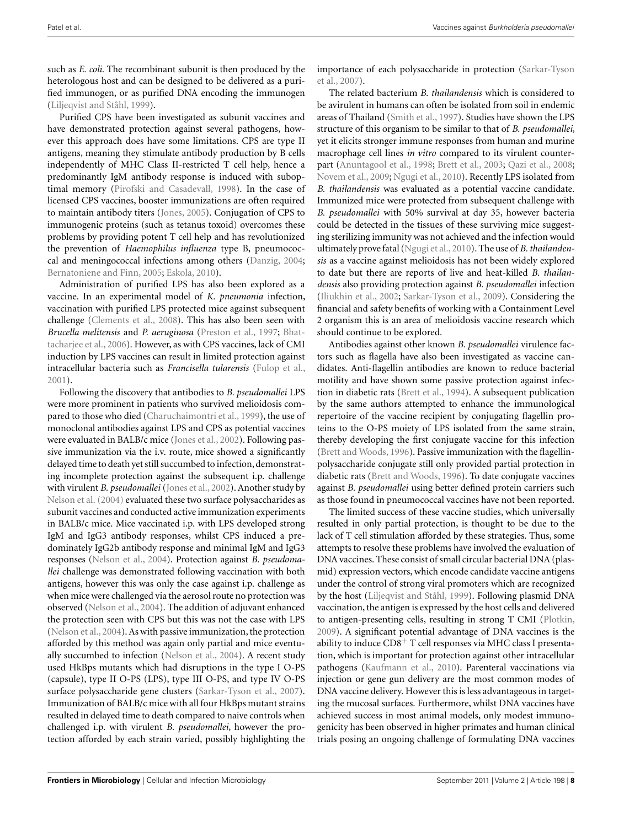such as *E. coli*. The recombinant subunit is then produced by the heterologous host and can be designed to be delivered as a purified immunogen, or as purified DNA encoding the immunogen [\(Liljeqvist and Ståhl, 1999](#page-12-0)).

Purified CPS have been investigated as subunit vaccines and have demonstrated protection against several pathogens, however this approach does have some limitations. CPS are type II antigens, meaning they stimulate antibody production by B cells independently of MHC Class II-restricted T cell help, hence a predominantly IgM antibody response is induced with suboptimal memory [\(Pirofski and Casadevall, 1998\)](#page-13-0). In the case of licensed CPS vaccines, booster immunizations are often required to maintain antibody titers [\(Jones](#page-12-0), [2005\)](#page-12-0). Conjugation of CPS to immunogenic proteins (such as tetanus toxoid) overcomes these problems by providing potent T cell help and has revolutionized the prevention of *Haemophilus influenza* type B, pneumococcal and meningococcal infections among others [\(Danzig](#page-11-0), [2004;](#page-11-0) [Bernatoniene and Finn, 2005;](#page-10-0) [Eskola, 2010](#page-11-0)).

Administration of purified LPS has also been explored as a vaccine. In an experimental model of *K. pneumonia* infection, vaccination with purified LPS protected mice against subsequent challenge [\(Clements et al.](#page-10-0), [2008\)](#page-10-0). This has also been seen with *Brucella melitensis* and *P. aeruginosa* [\(Preston et al.](#page-13-0)[,](#page-10-0) [1997;](#page-13-0) Bhattacharjee et al., [2006\)](#page-10-0). However, as with CPS vaccines, lack of CMI induction by LPS vaccines can result in limited protection against intracellular bacteria such as *Francisella tularensis* [\(Fulop et al.,](#page-11-0) [2001\)](#page-11-0).

Following the discovery that antibodies to *B. pseudomallei* LPS were more prominent in patients who survived melioidosis compared to those who died [\(Charuchaimontri et al.](#page-10-0), [1999](#page-10-0)), the use of monoclonal antibodies against LPS and CPS as potential vaccines were evaluated in BALB/c mice [\(Jones et al., 2002\)](#page-12-0). Following passive immunization via the i.v. route, mice showed a significantly delayed time to death yet still succumbed to infection, demonstrating incomplete protection against the subsequent i.p. challenge with virulent *B. pseudomallei* [\(Jones et al.](#page-12-0), [2002](#page-12-0)). Another study by [Nelson et al.](#page-13-0) [\(2004\)](#page-13-0) evaluated these two surface polysaccharides as subunit vaccines and conducted active immunization experiments in BALB/c mice. Mice vaccinated i.p. with LPS developed strong IgM and IgG3 antibody responses, whilst CPS induced a predominately IgG2b antibody response and minimal IgM and IgG3 responses [\(Nelson et al., 2004\)](#page-13-0). Protection against *B. pseudomallei* challenge was demonstrated following vaccination with both antigens, however this was only the case against i.p. challenge as when mice were challenged via the aerosol route no protection was observed [\(Nelson et al., 2004\)](#page-13-0). The addition of adjuvant enhanced the protection seen with CPS but this was not the case with LPS [\(Nelson et al.](#page-13-0), [2004](#page-13-0)). As with passive immunization, the protection afforded by this method was again only partial and mice eventually succumbed to infection [\(Nelson et al.](#page-13-0), [2004](#page-13-0)). A recent study used HkBps mutants which had disruptions in the type I O-PS (capsule), type II O-PS (LPS), type III O-PS, and type IV O-PS surface polysaccharide gene clusters [\(Sarkar-Tyson et al., 2007](#page-13-0)). Immunization of BALB/c mice with all four HkBps mutant strains resulted in delayed time to death compared to naive controls when challenged i.p. with virulent *B. pseudomallei*, however the protection afforded by each strain varied, possibly highlighting the

imp[ortance of each polysaccharide in protection \(](#page-13-0)Sarkar-Tyson et al., [2007\)](#page-13-0).

The related bacterium *B. thailandensis* which is considered to be avirulent in humans can often be isolated from soil in endemic areas of Thailand [\(Smith et al.](#page-13-0), [1997](#page-13-0)). Studies have shown the LPS structure of this organism to be similar to that of *B. pseudomallei*, yet it elicits stronger immune responses from human and murine macrophage cell lines *in vitro* compared to its virulent counterpart [\(Anuntagool et al.](#page-10-0), [1998;](#page-10-0) [Brett et al., 2003](#page-10-0); [Qazi et al., 2008;](#page-13-0) [Novem et al.](#page-13-0), [2009](#page-13-0); [Ngugi et al.](#page-13-0), [2010\)](#page-13-0). Recently LPS isolated from *B. thailandensis* was evaluated as a potential vaccine candidate. Immunized mice were protected from subsequent challenge with *B. pseudomallei* with 50% survival at day 35, however bacteria could be detected in the tissues of these surviving mice suggesting sterilizing immunity was not achieved and the infection would ultimately prove fatal [\(Ngugi et al.](#page-13-0), [2010\)](#page-13-0). The use of *B. thailandensis* as a vaccine against melioidosis has not been widely explored to date but there are reports of live and heat-killed *B. thailandensis* also providing protection against *B. pseudomallei* infection [\(Iliukhin et al.](#page-12-0), [2002](#page-12-0); [Sarkar-Tyson et al.](#page-13-0), [2009](#page-13-0)). Considering the financial and safety benefits of working with a Containment Level 2 organism this is an area of melioidosis vaccine research which should continue to be explored.

Antibodies against other known *B. pseudomallei* virulence factors such as flagella have also been investigated as vaccine candidates. Anti-flagellin antibodies are known to reduce bacterial motility and have shown some passive protection against infection in diabetic rats [\(Brett et al., 1994](#page-10-0)). A subsequent publication by the same authors attempted to enhance the immunological repertoire of the vaccine recipient by conjugating flagellin proteins to the O-PS moiety of LPS isolated from the same strain, thereby developing the first conjugate vaccine for this infection [\(Brett and Woods, 1996\)](#page-10-0). Passive immunization with the flagellinpolysaccharide conjugate still only provided partial protection in diabetic rats [\(Brett and Woods, 1996](#page-10-0)). To date conjugate vaccines against *B. pseudomallei* using better defined protein carriers such as those found in pneumococcal vaccines have not been reported.

The limited success of these vaccine studies, which universally resulted in only partial protection, is thought to be due to the lack of T cell stimulation afforded by these strategies. Thus, some attempts to resolve these problems have involved the evaluation of DNA vaccines. These consist of small circular bacterial DNA (plasmid) expression vectors, which encode candidate vaccine antigens under the control of strong viral promoters which are recognized by the host [\(Liljeqvist and Ståhl](#page-12-0), [1999](#page-12-0)). Following plasmid DNA vaccination, the antigen is expressed by the host cells and delivered to antigen-presenting cells, resulting in strong T CMI [\(Plotkin,](#page-13-0) [2009\)](#page-13-0). A significant potential advantage of DNA vaccines is the ability to induce CD8<sup>+</sup> T cell responses via MHC class I presentation, which is important for protection against other intracellular pathogens [\(Kaufmann et al., 2010\)](#page-12-0). Parenteral vaccinations via injection or gene gun delivery are the most common modes of DNA vaccine delivery. However this is less advantageous in targeting the mucosal surfaces. Furthermore, whilst DNA vaccines have achieved success in most animal models, only modest immunogenicity has been observed in higher primates and human clinical trials posing an ongoing challenge of formulating DNA vaccines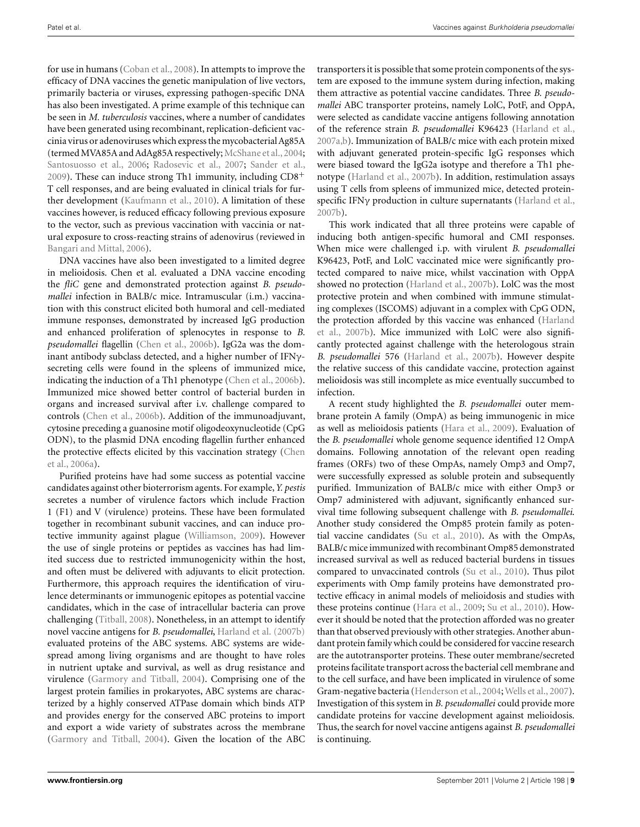for use in humans [\(Coban et al., 2008\)](#page-10-0). In attempts to improve the efficacy of DNA vaccines the genetic manipulation of live vectors, primarily bacteria or viruses, expressing pathogen-specific DNA has also been investigated. A prime example of this technique can be seen in *M. tuberculosis* vaccines, where a number of candidates have been generated using recombinant, replication-deficient vaccinia virus or adenoviruses which express the mycobacterial Ag85A (termed MVA85A and AdAg85A respectively; [McShane et al.](#page-12-0), [2004;](#page-12-0) [Santosuosso et al., 2006](#page-13-0); [Radosevic et al., 2007](#page-13-0); [Sander et al.,](#page-13-0) [2009\)](#page-13-0). These can induce strong Th1 immunity, including  $CD8<sup>+</sup>$ T cell responses, and are being evaluated in clinical trials for further development [\(Kaufmann et al., 2010\)](#page-12-0). A limitation of these vaccines however, is reduced efficacy following previous exposure to the vector, such as previous vaccination with vaccinia or natural exposure to cross-reacting strains of adenovirus (reviewed in [Bangari and Mittal, 2006](#page-10-0)).

DNA vaccines have also been investigated to a limited degree in melioidosis. Chen et al. evaluated a DNA vaccine encoding the *fliC* gene and demonstrated protection against *B. pseudomallei* infection in BALB/c mice. Intramuscular (i.m.) vaccination with this construct elicited both humoral and cell-mediated immune responses, demonstrated by increased IgG production and enhanced proliferation of splenocytes in response to *B. pseudomallei* flagellin [\(Chen et al.](#page-10-0), [2006b](#page-10-0)). IgG2a was the dominant antibody subclass detected, and a higher number of IFNγsecreting cells were found in the spleens of immunized mice, indicating the induction of a Th1 phenotype [\(Chen et al.](#page-10-0), [2006b](#page-10-0)). Immunized mice showed better control of bacterial burden in organs and increased survival after i.v. challenge compared to controls [\(Chen et al., 2006b\)](#page-10-0). Addition of the immunoadjuvant, cytosine preceding a guanosine motif oligodeoxynucleotide (CpG ODN), to the plasmid DNA encoding flagellin further enhanced the [protective effects elicited by this vaccination strategy \(](#page-10-0)Chen et al., [2006a\)](#page-10-0).

Purified proteins have had some success as potential vaccine candidates against other bioterrorism agents. For example,*Y. pestis* secretes a number of virulence factors which include Fraction 1 (F1) and V (virulence) proteins. These have been formulated together in recombinant subunit vaccines, and can induce protective immunity against plague [\(Williamson, 2009](#page-14-0)). However the use of single proteins or peptides as vaccines has had limited success due to restricted immunogenicity within the host, and often must be delivered with adjuvants to elicit protection. Furthermore, this approach requires the identification of virulence determinants or immunogenic epitopes as potential vaccine candidates, which in the case of intracellular bacteria can prove challenging [\(Titball](#page-14-0), [2008\)](#page-14-0). Nonetheless, in an attempt to identify novel vaccine antigens for *B. pseudomallei*, [Harland et al.](#page-11-0) [\(2007b](#page-11-0)) evaluated proteins of the ABC systems. ABC systems are widespread among living organisms and are thought to have roles in nutrient uptake and survival, as well as drug resistance and virulence [\(Garmory and Titball, 2004\)](#page-11-0). Comprising one of the largest protein families in prokaryotes, ABC systems are characterized by a highly conserved ATPase domain which binds ATP and provides energy for the conserved ABC proteins to import and export a wide variety of substrates across the membrane [\(Garmory and Titball, 2004\)](#page-11-0). Given the location of the ABC transporters it is possible that some protein components of the system are exposed to the immune system during infection, making them attractive as potential vaccine candidates. Three *B. pseudomallei* ABC transporter proteins, namely LolC, PotF, and OppA, were selected as candidate vaccine antigens following annotation of the reference strain *B. pseudomallei* K96423 [\(Harland et al.,](#page-11-0) [2007a,b\)](#page-11-0). Immunization of BALB/c mice with each protein mixed with adjuvant generated protein-specific IgG responses which were biased toward the IgG2a isotype and therefore a Th1 phenotype [\(Harland et al.](#page-11-0), [2007b\)](#page-11-0). In addition, restimulation assays using T cells from spleens of immunized mice, detected proteinspecific IFNγ production in culture supernatants [\(Harland et al.,](#page-11-0) [2007b](#page-11-0)).

This work indicated that all three proteins were capable of inducing both antigen-specific humoral and CMI responses. When mice were challenged i.p. with virulent *B. pseudomallei* K96423, PotF, and LolC vaccinated mice were significantly protected compared to naive mice, whilst vaccination with OppA showed no protection [\(Harland et al., 2007b](#page-11-0)). LolC was the most protective protein and when combined with immune stimulating complexes (ISCOMS) adjuvant in a complex with CpG ODN, the p[rotection afforded by this vaccine was enhanced \(](#page-11-0)Harland et al., [2007b\)](#page-11-0). Mice immunized with LolC were also significantly protected against challenge with the heterologous strain *B. pseudomallei* 576 [\(Harland et al., 2007b](#page-11-0)). However despite the relative success of this candidate vaccine, protection against melioidosis was still incomplete as mice eventually succumbed to infection.

A recent study highlighted the *B. pseudomallei* outer membrane protein A family (OmpA) as being immunogenic in mice as well as melioidosis patients [\(Hara et al.](#page-11-0), [2009\)](#page-11-0). Evaluation of the *B. pseudomallei* whole genome sequence identified 12 OmpA domains. Following annotation of the relevant open reading frames (ORFs) two of these OmpAs, namely Omp3 and Omp7, were successfully expressed as soluble protein and subsequently purified. Immunization of BALB/c mice with either Omp3 or Omp7 administered with adjuvant, significantly enhanced survival time following subsequent challenge with *B. pseudomallei*. Another study considered the Omp85 protein family as potential vaccine candidates [\(Su et al.](#page-13-0), [2010\)](#page-13-0). As with the OmpAs, BALB/c mice immunized with recombinant Omp85 demonstrated increased survival as well as reduced bacterial burdens in tissues compared to unvaccinated controls [\(Su et al., 2010\)](#page-13-0). Thus pilot experiments with Omp family proteins have demonstrated protective efficacy in animal models of melioidosis and studies with these proteins continue [\(Hara et al., 2009;](#page-11-0) [Su et al., 2010\)](#page-13-0). However it should be noted that the protection afforded was no greater than that observed previously with other strategies. Another abundant protein family which could be considered for vaccine research are the autotransporter proteins. These outer membrane/secreted proteins facilitate transport across the bacterial cell membrane and to the cell surface, and have been implicated in virulence of some Gram-negative bacteria [\(Henderson et al., 2004;](#page-11-0) [Wells et al.](#page-14-0), [2007](#page-14-0)). Investigation of this system in *B. pseudomallei* could provide more candidate proteins for vaccine development against melioidosis. Thus, the search for novel vaccine antigens against *B. pseudomallei* is continuing.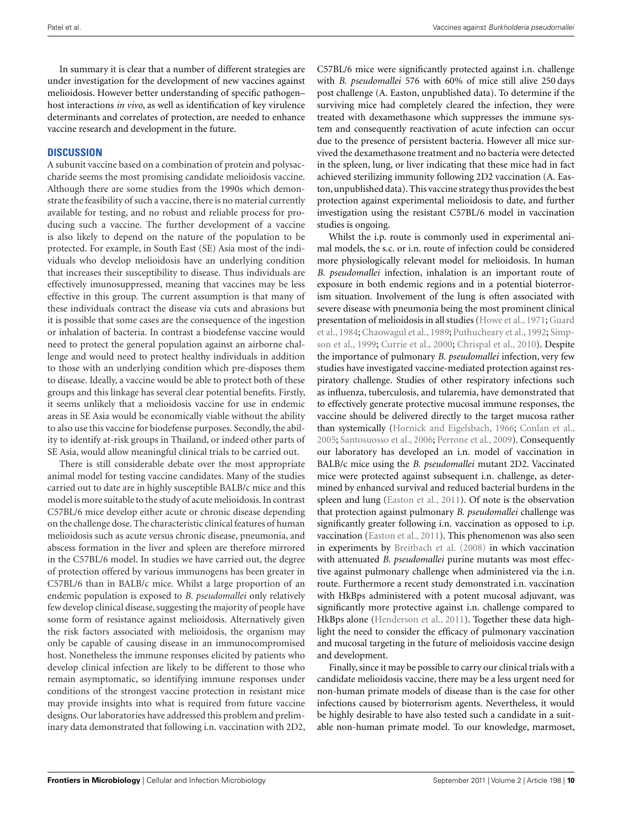In summary it is clear that a number of different strategies are under investigation for the development of new vaccines against melioidosis. However better understanding of specific pathogen– host interactions *in vivo*, as well as identification of key virulence determinants and correlates of protection, are needed to enhance vaccine research and development in the future.

#### **DISCUSSION**

A subunit vaccine based on a combination of protein and polysaccharide seems the most promising candidate melioidosis vaccine. Although there are some studies from the 1990s which demonstrate the feasibility of such a vaccine, there is no material currently available for testing, and no robust and reliable process for producing such a vaccine. The further development of a vaccine is also likely to depend on the nature of the population to be protected. For example, in South East (SE) Asia most of the individuals who develop melioidosis have an underlying condition that increases their susceptibility to disease. Thus individuals are effectively imunosuppressed, meaning that vaccines may be less effective in this group. The current assumption is that many of these individuals contract the disease via cuts and abrasions but it is possible that some cases are the consequence of the ingestion or inhalation of bacteria. In contrast a biodefense vaccine would need to protect the general population against an airborne challenge and would need to protect healthy individuals in addition to those with an underlying condition which pre-disposes them to disease. Ideally, a vaccine would be able to protect both of these groups and this linkage has several clear potential benefits. Firstly, it seems unlikely that a melioidosis vaccine for use in endemic areas in SE Asia would be economically viable without the ability to also use this vaccine for biodefense purposes. Secondly, the ability to identify at-risk groups in Thailand, or indeed other parts of SE Asia, would allow meaningful clinical trials to be carried out.

There is still considerable debate over the most appropriate animal model for testing vaccine candidates. Many of the studies carried out to date are in highly susceptible BALB/c mice and this model is more suitable to the study of acute melioidosis. In contrast C57BL/6 mice develop either acute or chronic disease depending on the challenge dose. The characteristic clinical features of human melioidosis such as acute versus chronic disease, pneumonia, and abscess formation in the liver and spleen are therefore mirrored in the C57BL/6 model. In studies we have carried out, the degree of protection offered by various immunogens has been greater in C57BL/6 than in BALB/c mice. Whilst a large proportion of an endemic population is exposed to *B. pseudomallei* only relatively few develop clinical disease, suggesting the majority of people have some form of resistance against melioidosis. Alternatively given the risk factors associated with melioidosis, the organism may only be capable of causing disease in an immunocompromised host. Nonetheless the immune responses elicited by patients who develop clinical infection are likely to be different to those who remain asymptomatic, so identifying immune responses under conditions of the strongest vaccine protection in resistant mice may provide insights into what is required from future vaccine designs. Our laboratories have addressed this problem and preliminary data demonstrated that following i.n. vaccination with 2D2, C57BL/6 mice were significantly protected against i.n. challenge with *B. pseudomallei* 576 with 60% of mice still alive 250 days post challenge (A. Easton, unpublished data). To determine if the surviving mice had completely cleared the infection, they were treated with dexamethasone which suppresses the immune system and consequently reactivation of acute infection can occur due to the presence of persistent bacteria. However all mice survived the dexamethasone treatment and no bacteria were detected in the spleen, lung, or liver indicating that these mice had in fact achieved sterilizing immunity following 2D2 vaccination (A. Easton, unpublished data). This vaccine strategy thus provides the best protection against experimental melioidosis to date, and further investigation using the resistant C57BL/6 model in vaccination studies is ongoing.

Whilst the i.p. route is commonly used in experimental animal models, the s.c. or i.n. route of infection could be considered more physiologically relevant model for melioidosis. In human *B. pseudomallei* infection, inhalation is an important route of exposure in both endemic regions and in a potential bioterrorism situation. Involvement of the lung is often associated with severe disease with pneumonia being the most prominent clinical pres[entation of melioidosis in all studies](#page-11-0) [\(Howe et al.](#page-12-0)[,](#page-11-0) [1971](#page-12-0)[;](#page-11-0) Guard et al.[, 1984;](#page-11-0) [Chaowagul et al.](#page-10-0), [1989;](#page-10-0) [Puthucheary et al., 1992;](#page-13-0) Simpson et al., [1999](#page-13-0); [Currie et al.](#page-11-0), [2000;](#page-11-0) [Chrispal et al.](#page-10-0), [2010](#page-10-0)). Despite the importance of pulmonary *B. pseudomallei* infection, very few studies have investigated vaccine-mediated protection against respiratory challenge. Studies of other respiratory infections such as influenza, tuberculosis, and tularemia, have demonstrated that to effectively generate protective mucosal immune responses, the vaccine should be delivered directly to the target mucosa rather than systemically [\(Hornick and Eigelsbach](#page-12-0), [1966;](#page-12-0) [Conlan et al.,](#page-10-0) [2005;](#page-10-0) [Santosuosso et al., 2006](#page-13-0); [Perrone et al., 2009](#page-13-0)). Consequently our laboratory has developed an i.n. model of vaccination in BALB/c mice using the *B. pseudomallei* mutant 2D2. Vaccinated mice were protected against subsequent i.n. challenge, as determined by enhanced survival and reduced bacterial burdens in the spleen and lung [\(Easton et al.](#page-11-0), [2011](#page-11-0)). Of note is the observation that protection against pulmonary *B. pseudomallei* challenge was significantly greater following i.n. vaccination as opposed to i.p. vaccination [\(Easton et al.](#page-11-0), [2011\)](#page-11-0). This phenomenon was also seen in experiments by [Breitbach et al.](#page-10-0) [\(2008\)](#page-10-0) in which vaccination with attenuated *B. pseudomallei* purine mutants was most effective against pulmonary challenge when administered via the i.n. route. Furthermore a recent study demonstrated i.n. vaccination with HkBps administered with a potent mucosal adjuvant, was significantly more protective against i.n. challenge compared to HkBps alone [\(Henderson et al.](#page-11-0), [2011](#page-11-0)). Together these data highlight the need to consider the efficacy of pulmonary vaccination and mucosal targeting in the future of melioidosis vaccine design and development.

Finally, since it may be possible to carry our clinical trials with a candidate melioidosis vaccine, there may be a less urgent need for non-human primate models of disease than is the case for other infections caused by bioterrorism agents. Nevertheless, it would be highly desirable to have also tested such a candidate in a suitable non-human primate model. To our knowledge, marmoset,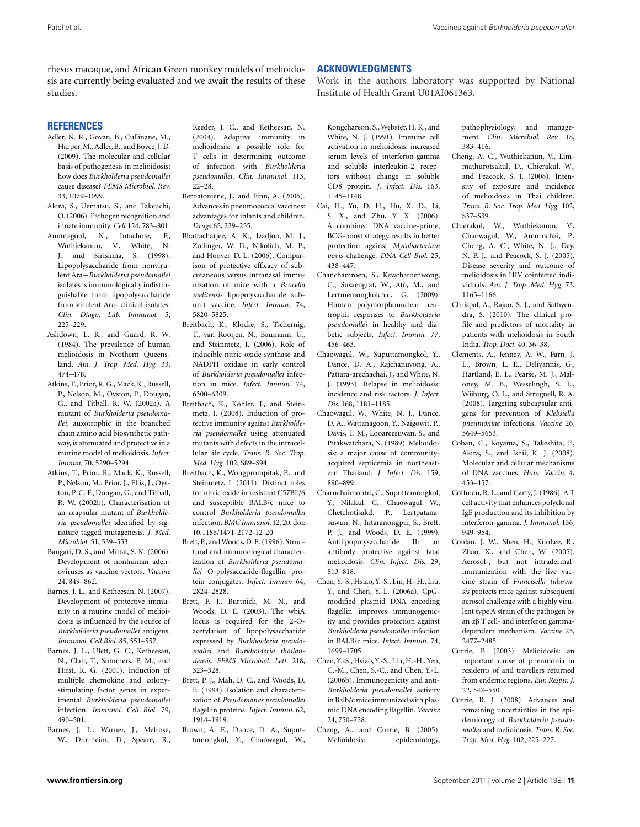<span id="page-10-0"></span>rhesus macaque, and African Green monkey models of melioidosis are currently being evaluated and we await the results of these studies.

#### **REFERENCES**

- Adler, N. R., Govan, B., Cullinane, M., Harper,M.,Adler, B., and Boyce, J. D. (2009). The molecular and cellular basis of pathogenesis in melioidosis: how does *Burkholderia pseudomallei* cause disease? *FEMS Microbiol. Rev.* 33, 1079–1099.
- Akira, S., Uematsu, S., and Takeuchi, O. (2006). Pathogen recognition and innate immunity. *Cell* 124, 783–801.
- Anuntagool, N., Intachote, P., Wuthiekanun, V., White, N. J., and Sirisinha, S. (1998). Lipopolysaccharide from nonvirulent Ara+*Burkholderia pseudomallei* isolates is immunologically indistinguishable from lipopolysaccharide from virulent Ara- clinical isolates. *Clin. Diagn. Lab. Immunol.* 5, 225–229.
- Ashdown, L. R., and Guard, R. W. (1984). The prevalence of human melioidosis in Northern Queensland. *Am. J. Trop. Med. Hyg.* 33, 474–478.
- Atkins, T., Prior, R. G., Mack, K., Russell, P., Nelson, M., Oyston, P., Dougan, G., and Titball, R. W. (2002a). A mutant of *Burkholderia pseudomallei*, auxotrophic in the branched chain amino acid biosynthetic pathway, is attenuated and protective in a murine model of melioidosis. *Infect. Immun.* 70, 5290–5294.
- Atkins, T., Prior, R., Mack, K., Russell, P., Nelson, M., Prior, J., Ellis, J., Oyston, P. C. F., Dougan, G., and Titball, R. W. (2002b). Characterisation of an acapsular mutant of *Burkholderia pseudomallei* identified by signature tagged mutagenesis. *J. Med. Microbiol.* 51, 539–553.
- Bangari, D. S., and Mittal, S. K. (2006). Development of nonhuman adenoviruses as vaccine vectors. *Vaccine* 24, 849–862.
- Barnes, J. L., and Ketheesan, N. (2007). Development of protective immunity in a murine model of melioidosis is influenced by the source of *Burkholderia pseudomallei* antigens. *Immunol. Cell Biol.* 85, 551–557.
- Barnes, J. L., Ulett, G. C., Ketheesan, N., Clair, T., Summers, P. M., and Hirst, R. G. (2001). Induction of multiple chemokine and colonystimulating factor genes in experimental *Burkholderia pseudomallei* infection. *Immunol. Cell Biol.* 79, 490–501.
- Barnes, J. L., Warner, J., Melrose, W., Durrheim, D., Speare, R.,

Reeder, J. C., and Ketheesan, N. (2004). Adaptive immunity in melioidosis: a possible role for T cells in determining outcome of infection with *Burkholderia pseudomallei*. *Clin. Immunol.* 113, 22–28.

- Bernatoniene, J., and Finn, A. (2005). Advances in pneumococcal vaccines: advantages for infants and children. *Drugs* 65, 229–255.
- Bhattacharjee, A. K., Izadjoo, M. J., Zollinger, W. D., Nikolich, M. P., and Hoover, D. L. (2006). Comparison of protective efficacy of subcutaneous versus intranasal immunization of mice with a *Brucella melitensis* lipopolysaccharide subunit vaccine. *Infect. Immun.* 74, 5820–5825.
- Breitbach, K., Klocke, S., Tschernig, T., van Rooijen, N., Baumann, U., and Steinmetz, I. (2006). Role of inducible nitric oxide synthase and NADPH oxidase in early control of *Burkholderia pseudomallei* infection in mice. *Infect. Immun.* 74, 6300–6309.
- Breitbach, K., Köhler, J., and Steinmetz, I. (2008). Induction of protective immunity against *Burkholderia pseudomallei* using attenuated mutants with defects in the intracellular life cycle. *Trans. R. Soc. Trop. Med. Hyg.* 102, S89–S94.
- Breitbach, K., Wongprompitak, P., and Steinmetz, I. (2011). Distinct roles for nitric oxide in resistant C57BL/6 and susceptible BALB/c mice to control *Burkholderia pseudomallei* infection. *BMC Immunol.* 12,20. doi: 10.1186/1471-2172-12-20
- Brett, P., and Woods, D. E. (1996). Structural and immunological characterization of *Burkholderia pseudomallei* O-polysaccaride-flagellin protein conjugates. *Infect. Immun* 64, 2824–2828.
- Brett, P. J., Burtnick, M. N., and Woods, D. E. (2003). The wbiA locus is required for the 2-Oacetylation of lipopolysaccharide expressed by *Burkholderia pseudomallei* and *Burkholderia thailandensis*. *FEMS Microbiol. Lett.* 218, 323–328.
- Brett, P. J., Mah, D. C., and Woods, D. E. (1994). Isolation and characterization of *Pseudomonas pseudomallei* flagellin proteins. *Infect. Immun.* 62, 1914–1919.
- Brown, A. E., Dance, D. A., Suputtamongkol, Y., Chaowagul, W.,

## **ACKNOWLEDGMENTS**

Work in the authors laboratory was supported by National Institute of Health Grant U01AI061363.

- Kongchareon, S.,Webster, H. K., and White, N. J. (1991). Immune cell activation in melioidosis: increased serum levels of interferon-gamma and soluble interleukin-2 receptors without change in soluble CD8 protein. *J. Infect. Dis.* 163, 1145–1148.
- Cai, H., Yu, D. H., Hu, X. D., Li, S. X., and Zhu, Y. X. (2006). A combined DNA vaccine-prime, BCG-boost strategy results in better protection against *Mycobacterium bovis* challenge. *DNA Cell Biol.* 25, 438–447.
- Chanchamroen, S., Kewcharoenwong, C., Susaengrat, W., Ato, M., and Lertmemongkolchai, G. (2009). Human polymorphonuclear neutrophil responses to *Burkholderia pseudomallei* in healthy and diabetic subjects. *Infect. Immun.* 77, 456–463.
- Chaowagul, W., Suputtamongkol, Y., Dance, D. A., Rajchanuvong, A., Pattara-arechachai, J., and White, N. J. (1993). Relapse in melioidosis: incidence and risk factors. *J. Infect. Dis.* 168, 1181–1185.
- Chaowagul, W., White, N. J., Dance, D. A., Wattanagoon, Y., Naigowit, P., Davis, T. M., Looareesuwan, S., and Pitakwatchara, N. (1989). Melioidosis: a major cause of communityacquired septicemia in northeastern Thailand. *J. Infect. Dis.* 159, 890–899.
- Charuchaimontri, C., Suputtamongkol, Y., Nilakul, C., Chaowagul, W., Chetchotisakd, P., Lertpatanasuwun, N., Intaranongpai, S., Brett, P. J., and Woods, D. E. (1999). Antilipopolysaccharide II: an antibody protective against fatal melioidosis. *Clin. Infect. Dis.* 29, 813–818.
- Chen, Y.-S., Hsiao, Y.-S., Lin, H.-H., Liu, Y., and Chen, Y.-L. (2006a). CpGmodified plasmid DNA encoding flagellin improves immunogenicity and provides protection against *Burkholderia pseudomallei* infection in BALB/c mice. *Infect. Immun.* 74, 1699–1705.
- Chen, Y.-S., Hsiao, Y.-S., Lin, H.-H., Yen, C.-M., Chen, S.-C., and Chen, Y.-L. (2006b). Immunogenicity and anti-*Burkholderia pseudomallei* activity in Balb/c mice immunized with plasmid DNA encoding flagellin.*Vaccine* 24, 750–758.
- Cheng, A., and Currie, B. (2005). Melioidosis: epidemiology,

pathophysiology, and management. *Clin. Microbiol. Rev.* 18, 383–416.

- Cheng, A. C., Wuthiekanun, V., Limmathurotsakul, D., Chierakul, W., and Peacock, S. J. (2008). Intensity of exposure and incidence of melioidosis in Thai children. *Trans. R. Soc. Trop. Med. Hyg.* 102, S37–S39.
- Chierakul, W., Wuthiekanun, V., Chaowagul, W., Amornchai, P., Cheng, A. C., White, N. J., Day, N. P. J., and Peacock, S. J. (2005). Disease severity and outcome of melioidosis in HIV coinfected individuals. *Am. J. Trop. Med. Hyg.* 73, 1165–1166.
- Chrispal, A., Rajan, S. J., and Sathyendra, S. (2010). The clinical profile and predictors of mortality in patients with melioidosis in South India. *Trop. Doct.* 40, 36–38.
- Clements, A., Jenney, A. W., Farn, J. L., Brown, L. E., Deliyannis, G., Hartland, E. L., Pearse, M. J., Maloney, M. B., Wesselingh, S. L., Wijburg, O. L., and Strugnell, R. A. (2008). Targeting subcapsular antigens for prevention of *Klebsiella pneumoniae* infections. *Vaccine* 26, 5649–5653.
- Coban, C., Koyama, S., Takeshita, F., Akira, S., and Ishii, K. J. (2008). Molecular and cellular mechanisms of DNA vaccines. *Hum. Vaccin.* 4, 453–457.
- Coffman, R. L., and Carty, J. (1986). A T cell activity that enhances polyclonal IgE production and its inhibition by interferon-gamma. *J. Immunol.* 136, 949–954.
- Conlan, J. W., Shen, H., KuoLee, R., Zhao, X., and Chen, W. (2005). Aerosol-, but not intradermalimmunization with the live vaccine strain of *Francisella tularensis* protects mice against subsequent aerosol challenge with a highly virulent type A strain of the pathogen by an αβ T cell- and interferon gammadependent mechanism. *Vaccine* 23, 2477–2485.
- Currie, B. (2003). Melioidosis: an important cause of pneumonia in residents of and travellers returned from endemic regions. *Eur. Respir. J.* 22, 542–550.
- Currie, B. J. (2008). Advances and remaining uncertainties in the epidemiology of *Burkholderia pseudomallei* and melioidosis. *Trans. R. Soc. Trop. Med. Hyg.* 102, 225–227.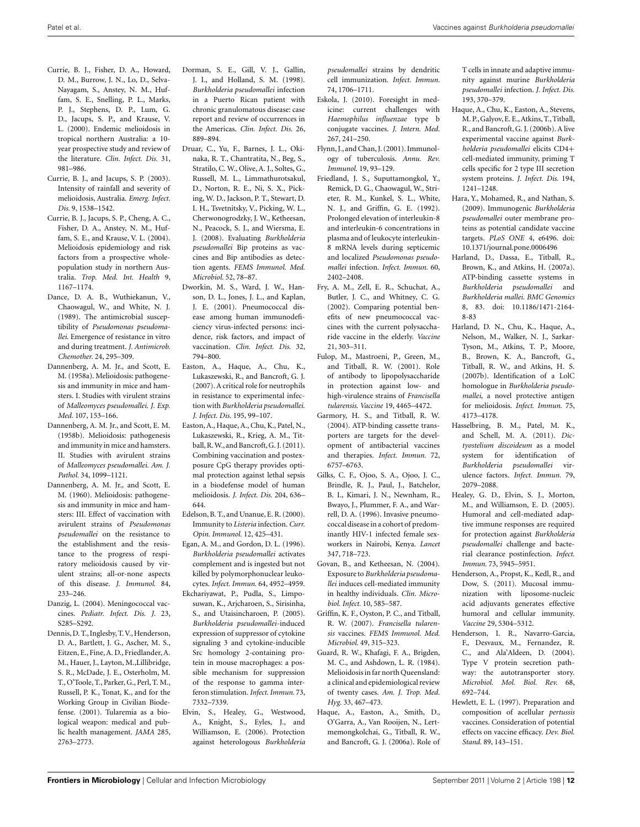- <span id="page-11-0"></span>Currie, B. J., Fisher, D. A., Howard, D. M., Burrow, J. N., Lo, D., Selva-Nayagam, S., Anstey, N. M., Huffam, S. E., Snelling, P. L., Marks, P. J., Stephens, D. P., Lum, G. D., Jacups, S. P., and Krause, V. L. (2000). Endemic melioidosis in tropical northern Australia: a 10 year prospective study and review of the literature. *Clin. Infect. Dis.* 31, 981–986.
- Currie, B. J., and Jacups, S. P. (2003). Intensity of rainfall and severity of melioidosis, Australia. *Emerg. Infect. Dis.* 9, 1538–1542.
- Currie, B. J., Jacups, S. P., Cheng, A. C., Fisher, D. A., Anstey, N. M., Huffam, S. E., and Krause, V. L. (2004). Melioidosis epidemiology and risk factors from a prospective wholepopulation study in northern Australia. *Trop. Med. Int. Health* 9, 1167–1174.
- Dance, D. A. B., Wuthiekanun, V., Chaowagul, W., and White, N. J. (1989). The antimicrobial susceptibility of *Pseudomonas pseudomallei*. Emergence of resistance in vitro and during treatment. *J. Antimicrob. Chemother.* 24, 295–309.
- Dannenberg, A. M. Jr., and Scott, E. M. (1958a). Melioidosis: pathogenesis and immunity in mice and hamsters. I. Studies with virulent strains of *Malleomyces pseudomallei*. *J. Exp. Med.* 107, 153–166.
- Dannenberg, A. M. Jr., and Scott, E. M. (1958b). Melioidosis: pathogenesis and immunity in mice and hamsters. II. Studies with avirulent strains of *Malleomyces pseudomallei. Am. J. Pathol.* 34, 1099–1121.
- Dannenberg, A. M. Jr., and Scott, E. M. (1960). Melioidosis: pathogenesis and immunity in mice and hamsters: III. Effect of vaccination with avirulent strains of *Pseudomonas pseudomallei* on the resistance to the establishment and the resistance to the progress of respiratory melioidosis caused by virulent strains; all-or-none aspects of this disease. *J. Immunol.* 84, 233–246.
- Danzig, L. (2004). Meningococcal vaccines. *Pediatr. Infect. Dis. J.* 23, S285–S292.
- Dennis, D. T., Inglesby, T.V., Henderson, D. A., Bartlett, J. G., Ascher, M. S., Eitzen, E., Fine, A. D., Friedlander, A. M., Hauer, J., Layton, M.,Lillibridge, S. R., McDade, J. E., Osterholm, M. T., O'Toole, T., Parker, G., Perl, T. M., Russell, P. K., Tonat, K., and for the Working Group in Civilian Biodefense. (2001). Tularemia as a biological weapon: medical and public health management. *JAMA* 285, 2763–2773.
- Dorman, S. E., Gill, V. J., Gallin, J. I., and Holland, S. M. (1998). *Burkholderia pseudomallei* infection in a Puerto Rican patient with chronic granulomatous disease: case report and review of occurrences in the Americas. *Clin. Infect. Dis.* 26, 889–894.
- Druar, C., Yu, F., Barnes, J. L., Okinaka, R. T., Chantratita, N., Beg, S., Stratilo, C. W., Olive, A. J., Soltes, G., Russell, M. L., Limmathurotsakul, D., Norton, R. E., Ni, S. X., Picking, W. D., Jackson, P. T., Stewart, D. I. H., Tsvetnitsky, V., Picking, W. L., Cherwonogrodzky, J. W., Ketheesan, N., Peacock, S. J., and Wiersma, E. J. (2008). Evaluating *Burkholderia pseudomallei* Bip proteins as vaccines and Bip antibodies as detection agents. *FEMS Immunol. Med. Microbiol.* 52, 78–87.
- Dworkin, M. S., Ward, J. W., Hanson, D. L., Jones, J. L., and Kaplan, J. E. (2001). Pneumococcal disease among human immunodeficiency virus-infected persons: incidence, risk factors, and impact of vaccination. *Clin. Infect. Dis.* 32, 794–800.
- Easton, A., Haque, A., Chu, K., Lukaszewski, R., and Bancroft, G. J. (2007). A critical role for neutrophils in resistance to experimental infection with *Burkholderia pseudomallei*. *J. Infect. Dis.* 195, 99–107.
- Easton, A., Haque, A., Chu, K., Patel, N., Lukaszewski, R., Krieg, A. M., Titball,R.W., and Bancroft,G. J. (2011). Combining vaccination and postexposure CpG therapy provides optimal protection against lethal sepsis in a biodefense model of human melioidosis. *J. Infect. Dis.* 204, 636– 644.
- Edelson, B. T., and Unanue, E. R. (2000). Immunity to *Listeria* infection. *Curr. Opin. Immunol.* 12, 425–431.
- Egan, A. M., and Gordon, D. L. (1996). *Burkholderia pseudomallei* activates complement and is ingested but not killed by polymorphonuclear leukocytes. *Infect. Immun.* 64, 4952–4959.
- Ekchariyawat, P., Pudla, S., Limposuwan, K., Arjcharoen, S., Sirisinha, S., and Utaisincharoen, P. (2005). *Burkholderia pseudomallei*-induced expression of suppressor of cytokine signaling 3 and cytokine-inducible Src homology 2-containing protein in mouse macrophages: a possible mechanism for suppression of the response to gamma interferon stimulation. *Infect. Immun.* 73, 7332–7339.
- Elvin, S., Healey, G., Westwood, A., Knight, S., Eyles, J., and Williamson, E. (2006). Protection against heterologous *Burkholderia*

*pseudomallei* strains by dendritic cell immunization. *Infect. Immun.* 74, 1706–1711.

- Eskola, J. (2010). Foresight in medicine: current challenges with *Haemophilus influenzae* type b conjugate vaccines. *J. Intern. Med.* 267, 241–250.
- Flynn, J., and Chan, J. (2001). Immunology of tuberculosis. *Annu. Rev. Immunol.* 19, 93–129.
- Friedland, J. S., Suputtamongkol, Y., Remick, D. G., Chaowagul, W., Strieter, R. M., Kunkel, S. L., White, N. J., and Griffin, G. E. (1992). Prolonged elevation of interleukin-8 and interleukin-6 concentrations in plasma and of leukocyte interleukin-8 mRNA levels during septicemic and localized *Pseudomonas pseudomallei* infection. *Infect. Immun.* 60, 2402–2408.
- Fry, A. M., Zell, E. R., Schuchat, A., Butler, J. C., and Whitney, C. G. (2002). Comparing potential benefits of new pneumococcal vaccines with the current polysaccharide vaccine in the elderly. *Vaccine* 21, 303–311.
- Fulop, M., Mastroeni, P., Green, M., and Titball, R. W. (2001). Role of antibody to lipopolysaccharide in protection against low- and high-virulence strains of *Francisella tularensis*. *Vaccine* 19, 4465–4472.
- Garmory, H. S., and Titball, R. W. (2004). ATP-binding cassette transporters are targets for the development of antibacterial vaccines and therapies. *Infect. Immun.* 72, 6757–6763.
- Gilks, C. F., Ojoo, S. A., Ojoo, J. C., Brindle, R. J., Paul, J., Batchelor, B. I., Kimari, J. N., Newnham, R., Bwayo, J., Plummer, F. A., and Warrell, D. A. (1996). Invasive pneumococcal disease in a cohort of predominantly HIV-1 infected female sexworkers in Nairobi, Kenya. *Lancet* 347, 718–723.
- Govan, B., and Ketheesan, N. (2004). Exposure to *Burkholderia pseudomallei* induces cell-mediated immunity in healthy individuals. *Clin. Microbiol. Infect.* 10, 585–587.
- Griffin, K. F., Oyston, P. C., and Titball, R. W. (2007). *Francisella tularensis* vaccines. *FEMS Immunol. Med. Microbiol.* 49, 315–323.
- Guard, R. W., Khafagi, F. A., Brigden, M. C., and Ashdown, L. R. (1984). Melioidosis infar north Queensland: a clinical and epidemiological review of twenty cases. *Am. J. Trop. Med. Hyg.* 33, 467–473.
- Haque, A., Easton, A., Smith, D., O'Garra, A., Van Rooijen, N., Lertmemongkolchai, G., Titball, R. W., and Bancroft, G. J. (2006a). Role of

T cells in innate and adaptive immunity against murine *Burkholderia pseudomallei* infection. *J. Infect. Dis.* 193, 370–379.

- Haque, A., Chu, K., Easton, A., Stevens, M. P., Galyov, E. E.,Atkins, T., Titball, R., and Bancroft, G. J. (2006b). A live experimental vaccine against *Burkholderia pseudomallei* elicits CD4+ cell-mediated immunity, priming T cells specific for 2 type III secretion system proteins. *J. Infect. Dis.* 194, 1241–1248.
- Hara, Y., Mohamed, R., and Nathan, S. (2009). Immunogenic *Burkholderia pseudomallei* outer membrane proteins as potential candidate vaccine targets. *PLoS ONE* 4, e6496. doi: 10.1371/journal.pone.0006496
- Harland, D., Dassa, E., Titball, R., Brown, K., and Atkins, H. (2007a). ATP-binding cassette systems in *Burkholderia pseudomallei* and *Burkholderia mallei*. *BMC Genomics* 8, 83. doi: 10.1186/1471-2164- 8-83
- Harland, D. N., Chu, K., Haque, A., Nelson, M., Walker, N. J., Sarkar-Tyson, M., Atkins, T. P., Moore, B., Brown, K. A., Bancroft, G., Titball, R. W., and Atkins, H. S. (2007b). Identification of a LolC homologue in *Burkholderia pseudomallei*, a novel protective antigen for melioidosis. *Infect. Immun.* 75, 4173–4178.
- Hasselbring, B. M., Patel, M. K., and Schell, M. A. (2011). *Dictyostelium discoideum* as a model system for identification of *Burkholderia pseudomallei* virulence factors. *Infect. Immun.* 79, 2079–2088.
- Healey, G. D., Elvin, S. J., Morton, M., and Williamson, E. D. (2005). Humoral and cell-mediated adaptive immune responses are required for protection against *Burkholderia pseudomallei* challenge and bacterial clearance postinfection. *Infect. Immun.* 73, 5945–5951.
- Henderson, A., Propst, K., Kedl, R., and Dow, S. (2011). Mucosal immunization with liposome-nucleic acid adjuvants generates effective humoral and cellular immunity. *Vaccine* 29, 5304–5312.
- Henderson, I. R., Navarro-Garcia, F., Desvaux, M., Fernandez, R. C., and Ala'Aldeen, D. (2004). Type V protein secretion pathway: the autotransporter story. *Microbiol. Mol. Biol. Rev.* 68, 692–744.
- Hewlett, E. L. (1997). Preparation and composition of acellular *pertussis* vaccines. Consideration of potential effects on vaccine efficacy. *Dev. Biol. Stand.* 89, 143–151.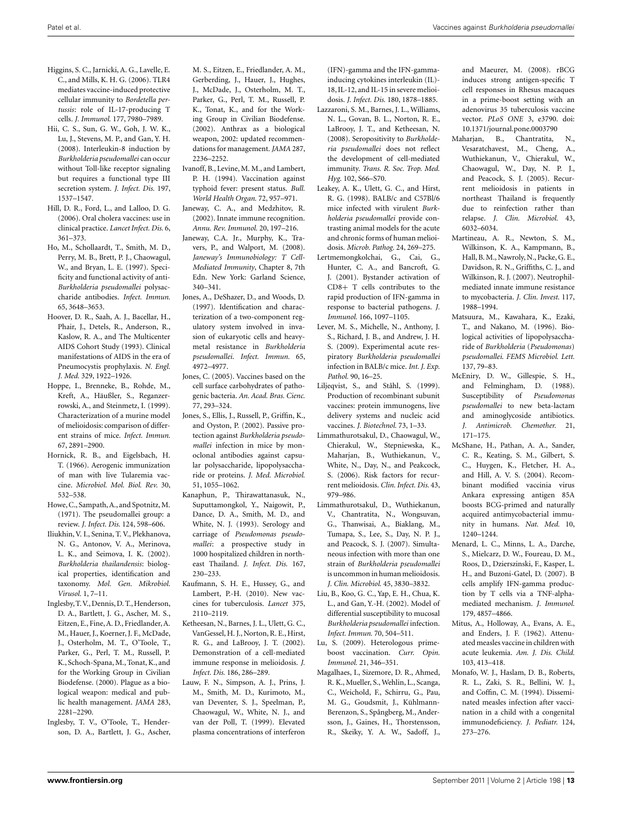- <span id="page-12-0"></span>Higgins, S. C., Jarnicki, A. G., Lavelle, E. C., and Mills, K. H. G. (2006). TLR4 mediates vaccine-induced protective cellular immunity to *Bordetella pertussis*: role of IL-17-producing T cells. *J. Immunol.* 177, 7980–7989.
- Hii, C. S., Sun, G. W., Goh, J. W. K., Lu, J., Stevens, M. P., and Gan, Y. H. (2008). Interleukin-8 induction by *Burkholderia pseudomallei* can occur without Toll-like receptor signaling but requires a functional type III secretion system. *J. Infect. Dis.* 197, 1537–1547.
- Hill, D. R., Ford, L., and Lalloo, D. G. (2006). Oral cholera vaccines: use in clinical practice. *Lancet Infect. Dis.* 6, 361–373.
- Ho, M., Schollaardt, T., Smith, M. D., Perry, M. B., Brett, P. J., Chaowagul, W., and Bryan, L. E. (1997). Specificity and functional activity of anti-*Burkholderia pseudomallei* polysaccharide antibodies. *Infect. Immun.* 65, 3648–3653.
- Hoover, D. R., Saah, A. J., Bacellar, H., Phair, J., Detels, R., Anderson, R., Kaslow, R. A., and The Multicenter AIDS Cohort Study (1993). Clinical manifestations of AIDS in the era of Pneumocystis prophylaxis. *N. Engl. J. Med.* 329, 1922–1926.
- Hoppe, I., Brenneke, B., Rohde, M., Kreft, A., Häußler, S., Reganzerrowski, A., and Steinmetz, I. (1999). Characterization of a murine model of melioidosis: comparison of different strains of mice. *Infect. Immun.* 67, 2891–2900.
- Hornick, R. B., and Eigelsbach, H. T. (1966). Aerogenic immunization of man with live Tularemia vaccine. *Microbiol. Mol. Biol. Rev.* 30, 532–538.
- Howe, C., Sampath,A., and Spotnitz,M. (1971). The pseudomallei group: a review. *J. Infect. Dis.* 124, 598–606.
- Iliukhin, V. I., Senina, T. V., Plekhanova, N. G., Antonov, V. A., Merinova, L. K., and Seimova, I. K. (2002). *Burkholderia thailandensis*: biological properties, identification and taxonomy. *Mol. Gen. Mikrobiol. Virusol.* 1, 7–11.
- Inglesby, T.V., Dennis, D. T., Henderson, D. A., Bartlett, J. G., Ascher, M. S., Eitzen, E., Fine, A. D., Friedlander, A. M., Hauer, J., Koerner, J. F., McDade, J., Osterholm, M. T., O'Toole, T., Parker, G., Perl, T. M., Russell, P. K., Schoch-Spana, M., Tonat, K., and for the Working Group in Civilian Biodefense. (2000). Plague as a biological weapon: medical and public health management. *JAMA* 283, 2281–2290.
- Inglesby, T. V., O'Toole, T., Henderson, D. A., Bartlett, J. G., Ascher,
- M. S., Eitzen, E., Friedlander, A. M., Gerberding, J., Hauer, J., Hughes, J., McDade, J., Osterholm, M. T., Parker, G., Perl, T. M., Russell, P. K., Tonat, K., and for the Working Group in Civilian Biodefense. (2002). Anthrax as a biological weapon, 2002: updated recommendations for management. *JAMA* 287, 2236–2252.
- Ivanoff, B., Levine, M. M., and Lambert, P. H. (1994). Vaccination against typhoid fever: present status. *Bull. World Health Organ.* 72, 957–971.
- Janeway, C. A., and Medzhitov, R. (2002). Innate immune recognition. *Annu. Rev. Immunol.* 20, 197–216.
- Janeway, C.A. Jr., Murphy, K., Travers, P., and Walport, M. (2008). *Janeway's Immunobiology: T Cell-Mediated Immunity*, Chapter 8, 7th Edn. New York: Garland Science, 340–341.
- Jones, A., DeShazer, D., and Woods, D. (1997). Identification and characterization of a two-component regulatory system involved in invasion of eukaryotic cells and heavymetal resistance in *Burkholderia pseudomallei*. *Infect. Immun.* 65, 4972–4977.
- Jones, C. (2005). Vaccines based on the cell surface carbohydrates of pathogenic bacteria. *An. Acad. Bras. Cienc.* 77, 293–324.
- Jones, S., Ellis, J., Russell, P., Griffin, K., and Oyston, P. (2002). Passive protection against *Burkholderia pseudomallei* infection in mice by monoclonal antibodies against capsular polysaccharide, lipopolysaccharide or proteins. *J. Med. Microbiol.* 51, 1055–1062.
- Kanaphun, P., Thirawattanasuk, N., Suputtamongkol, Y., Naigowit, P., Dance, D. A., Smith, M. D., and White, N. J. (1993). Serology and carriage of *Pseudomonas pseudomallei*: a prospective study in 1000 hospitalized children in northeast Thailand. *J. Infect. Dis.* 167, 230–233.
- Kaufmann, S. H. E., Hussey, G., and Lambert, P.-H. (2010). New vaccines for tuberculosis. *Lancet* 375, 2110–2119.
- Ketheesan, N., Barnes, J. L., Ulett, G. C., VanGessel, H. J., Norton, R. E., Hirst, R. G., and LaBrooy, J. T. (2002). Demonstration of a cell-mediated immune response in melioidosis. *J. Infect. Dis.* 186, 286–289.
- Lauw, F. N., Simpson, A. J., Prins, J. M., Smith, M. D., Kurimoto, M., van Deventer, S. J., Speelman, P., Chaowagul, W., White, N. J., and van der Poll, T. (1999). Elevated plasma concentrations of interferon

(IFN)-gamma and the IFN-gammainducing cytokines interleukin (IL)- 18, IL-12, and IL-15 in severe melioidosis. *J. Infect. Dis.* 180, 1878–1885.

- Lazzaroni, S. M., Barnes, J. L., Williams, N. L., Govan, B. L., Norton, R. E., LaBrooy, J. T., and Ketheesan, N. (2008). Seropositivity to *Burkholderia pseudomallei* does not reflect the development of cell-mediated immunity. *Trans. R. Soc. Trop. Med. Hyg.* 102, S66–S70.
- Leakey, A. K., Ulett, G. C., and Hirst, R. G. (1998). BALB/c and C57Bl/6 mice infected with virulent *Burkholderia pseudomallei* provide contrasting animal models for the acute and chronic forms of human melioidosis. *Microb. Pathog.* 24, 269–275.
- Lertmemongkolchai, G., Cai, G., Hunter, C. A., and Bancroft, G. J. (2001). Bystander activation of CD8+ T cells contributes to the rapid production of IFN-gamma in response to bacterial pathogens. *J. Immunol.* 166, 1097–1105.
- Lever, M. S., Michelle, N., Anthony, J. S., Richard, J. B., and Andrew, J. H. S. (2009). Experimental acute respiratory *Burkholderia pseudomallei* infection in BALB/c mice. *Int. J. Exp. Pathol.* 90, 16–25.
- Liljeqvist, S., and Ståhl, S. (1999). Production of recombinant subunit vaccines: protein immunogens, live delivery systems and nucleic acid vaccines. *J. Biotechnol.* 73, 1–33.
- Limmathurotsakul, D., Chaowagul, W., Chierakul, W., Stepniewska, K., Maharjan, B., Wuthiekanun, V., White, N., Day, N., and Peakcock, S. (2006). Risk factors for recurrent melioidosis. *Clin. Infect. Dis.* 43, 979–986.
- Limmathurotsakul, D., Wuthiekanun, V., Chantratita, N., Wongsuvan, G., Thanwisai, A., Biaklang, M., Tumapa, S., Lee, S., Day, N. P. J., and Peacock, S. J. (2007). Simultaneous infection with more than one strain of *Burkholderia pseudomallei* is uncommon in human melioidosis. *J. Clin. Microbiol.* 45, 3830–3832.
- Liu, B., Koo, G. C., Yap, E. H., Chua, K. L., and Gan, Y.-H. (2002). Model of differential susceptibility to mucosal *Burkholderia pseudomallei* infection. *Infect. Immun.* 70, 504–511.
- Lu, S. (2009). Heterologous primeboost vaccination. *Curr. Opin. Immunol.* 21, 346–351.
- Magalhaes, I., Sizemore, D. R., Ahmed, R. K., Mueller, S.,Wehlin, L., Scanga, C., Weichold, F., Schirru, G., Pau, M. G., Goudsmit, J., Kühlmann-Berenzon, S., Spångberg, M., Andersson, J., Gaines, H., Thorstensson, R., Skeiky, Y. A. W., Sadoff, J.,

and Maeurer, M. (2008). rBCG induces strong antigen-specific T cell responses in Rhesus macaques in a prime-boost setting with an adenovirus 35 tuberculosis vaccine vector. *PLoS ONE* 3, e3790. doi: 10.1371/journal.pone.0003790

- Maharjan, B., Chantratita, N., Vesaratchavest, M., Cheng, A., Wuthiekanun, V., Chierakul, W., Chaowagul, W., Day, N. P. J., and Peacock, S. J. (2005). Recurrent melioidosis in patients in northeast Thailand is frequently due to reinfection rather than relapse. *J. Clin. Microbiol.* 43, 6032–6034.
- Martineau, A. R., Newton, S. M., Wilkinson, K. A., Kampmann, B., Hall, B. M., Nawroly, N., Packe, G. E., Davidson, R. N., Griffiths, C. J., and Wilkinson, R. J. (2007). Neutrophilmediated innate immune resistance to mycobacteria. *J. Clin. Invest.* 117, 1988–1994.
- Matsuura, M., Kawahara, K., Ezaki, T., and Nakano, M. (1996). Biological activities of lipopolysaccharide of *Burkholderia* (*Pseudomonas*) *pseudomallei*. *FEMS Microbiol. Lett.* 137, 79–83.
- McEniry, D. W., Gillespie, S. H., and Felmingham, D. (1988). Susceptibility of *Pseudomonas pseudomallei* to new beta-lactam and aminoglycoside antibiotics. *J. Antimicrob. Chemother.* 21, 171–175.
- McShane, H., Pathan, A. A., Sander, C. R., Keating, S. M., Gilbert, S. C., Huygen, K., Fletcher, H. A., and Hill, A. V. S. (2004). Recombinant modified vaccinia virus Ankara expressing antigen 85A boosts BCG-primed and naturally acquired antimycobacterial immunity in humans. *Nat. Med.* 10, 1240–1244.
- Menard, L. C., Minns, L. A., Darche, S., Mielcarz, D. W., Foureau, D. M., Roos, D., Dzierszinski, F., Kasper, L. H., and Buzoni-Gatel, D. (2007). B cells amplify IFN-gamma production by T cells via a TNF-alphamediated mechanism. *J. Immunol.* 179, 4857–4866.
- Mitus, A., Holloway, A., Evans, A. E., and Enders, J. F. (1962). Attenuated measles vaccine in children with acute leukemia. *Am. J. Dis. Child.* 103, 413–418.
- Monafo, W. J., Haslam, D. B., Roberts, R. L., Zaki, S. R., Bellini, W. J., and Coffin, C. M. (1994). Disseminated measles infection after vaccination in a child with a congenital immunodeficiency. *J. Pediatr.* 124, 273–276.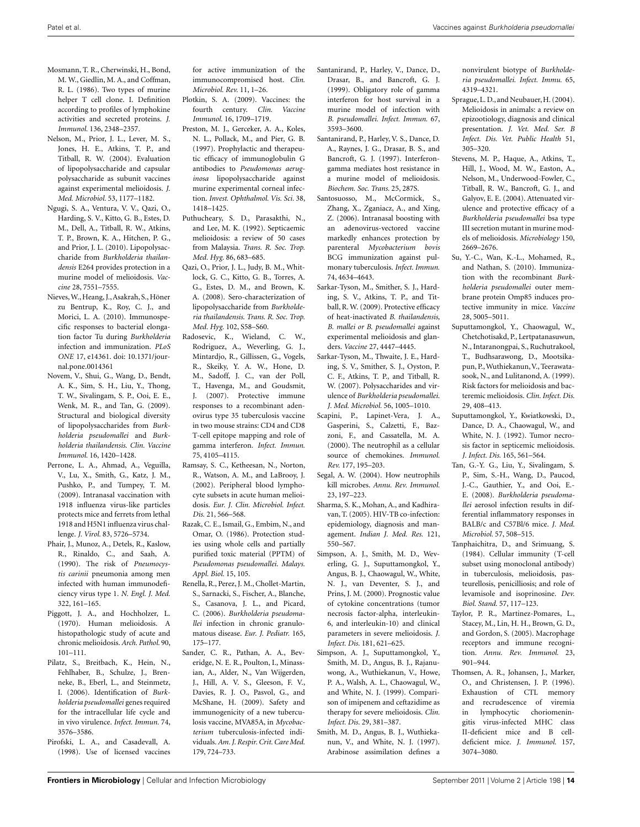- <span id="page-13-0"></span>Mosmann, T. R., Cherwinski, H., Bond, M. W., Giedlin, M. A., and Coffman, R. L. (1986). Two types of murine helper T cell clone. I. Definition according to profiles of lymphokine activities and secreted proteins. *J. Immunol.* 136, 2348–2357.
- Nelson, M., Prior, J. L., Lever, M. S., Jones, H. E., Atkins, T. P., and Titball, R. W. (2004). Evaluation of lipopolysaccharide and capsular polysaccharide as subunit vaccines against experimental melioidosis. *J. Med. Microbiol.* 53, 1177–1182.
- Ngugi, S. A., Ventura, V. V., Qazi, O., Harding, S. V., Kitto, G. B., Estes, D. M., Dell, A., Titball, R. W., Atkins, T. P., Brown, K. A., Hitchen, P. G., and Prior, J. L. (2010). Lipopolysaccharide from *Burkholderia thailandensis* E264 provides protection in a murine model of melioidosis. *Vaccine* 28, 7551–7555.
- Nieves,W., Heang, J.,Asakrah, S., Höner zu Bentrup, K., Roy, C. J., and Morici, L. A. (2010). Immunospecific responses to bacterial elongation factor Tu during *Burkholderia* infection and immunization. *PLoS ONE* 17, e14361. doi: 10.1371/journal.pone.0014361
- Novem, V., Shui, G., Wang, D., Bendt, A. K., Sim, S. H., Liu, Y., Thong, T. W., Sivalingam, S. P., Ooi, E. E., Wenk, M. R., and Tan, G. (2009). Structural and biological diversity of lipopolysaccharides from *Burkholderia pseudomallei* and *Burkholderia thailandensis*. *Clin. Vaccine Immunol.* 16, 1420–1428.
- Perrone, L. A., Ahmad, A., Veguilla, V., Lu, X., Smith, G., Katz, J. M., Pushko, P., and Tumpey, T. M. (2009). Intranasal vaccination with 1918 influenza virus-like particles protects mice and ferrets from lethal 1918 and H5N1 influenza virus challenge. *J. Virol.* 83, 5726–5734.
- Phair, J., Munoz, A., Detels, R., Kaslow, R., Rinaldo, C., and Saah, A. (1990). The risk of *Pneumocystis carinii* pneumonia among men infected with human immunodeficiency virus type 1. *N. Engl. J. Med.* 322, 161–165.
- Piggott, J. A., and Hochholzer, L. (1970). Human melioidosis. A histopathologic study of acute and chronic melioidosis.*Arch. Pathol.* 90, 101–111.
- Pilatz, S., Breitbach, K., Hein, N., Fehlhaber, B., Schulze, J., Brenneke, B., Eberl, L., and Steinmetz, I. (2006). Identification of *Burkholderia pseudomallei* genes required for the intracellular life cycle and in vivo virulence. *Infect. Immun.* 74, 3576–3586.
- Pirofski, L. A., and Casadevall, A. (1998). Use of licensed vaccines

for active immunization of the immunocompromised host. *Clin. Microbiol. Rev.* 11, 1–26.

- Plotkin, S. A. (2009). Vaccines: the fourth century. *Clin. Vaccine Immunol.* 16, 1709–1719.
- Preston, M. J., Gerceker, A. A., Koles, N. L., Pollack, M., and Pier, G. B. (1997). Prophylactic and therapeutic efficacy of immunoglobulin G antibodies to *Pseudomonas aeruginosa* lipopolysaccharide against murine experimental corneal infection. *Invest. Ophthalmol. Vis. Sci.* 38, 1418–1425.
- Puthucheary, S. D., Parasakthi, N., and Lee, M. K. (1992). Septicaemic melioidosis: a review of 50 cases from Malaysia. *Trans. R. Soc. Trop. Med. Hyg.* 86, 683–685.
- Qazi, O., Prior, J. L., Judy, B. M., Whitlock, G. C., Kitto, G. B., Torres, A. G., Estes, D. M., and Brown, K. A. (2008). Sero-characterization of lipopolysaccharide from *Burkholderia thailandensis*. *Trans. R. Soc. Trop. Med. Hyg.* 102, S58–S60.
- Radosevic, K., Wieland, C. W., Rodriguez, A., Weverling, G. J., Mintardjo, R., Gillissen, G., Vogels, R., Skeiky, Y. A. W., Hone, D. M., Sadoff, J. C., van der Poll, T., Havenga, M., and Goudsmit, J. (2007). Protective immune responses to a recombinant adenovirus type 35 tuberculosis vaccine in two mouse strains: CD4 and CD8 T-cell epitope mapping and role of gamma interferon. *Infect. Immun.* 75, 4105–4115.
- Ramsay, S. C., Ketheesan, N., Norton, R., Watson, A. M., and LaBrooy, J. (2002). Peripheral blood lymphocyte subsets in acute human melioidosis. *Eur. J. Clin. Microbiol. Infect. Dis.* 21, 566–568.
- Razak, C. E., Ismail, G., Embim, N., and Omar, O. (1986). Protection studies using whole cells and partially purified toxic material (PPTM) of *Pseudomonas pseudomallei*. *Malays. Appl. Biol.* 15, 105.
- Renella, R., Perez, J. M., Chollet-Martin, S., Sarnacki, S., Fischer, A., Blanche, S., Casanova, J. L., and Picard, C. (2006). *Burkholderia pseudomallei* infection in chronic granulomatous disease. *Eur. J. Pediatr.* 165, 175–177.
- Sander, C. R., Pathan, A. A., Beveridge, N. E. R., Poulton, I., Minassian, A., Alder, N., Van Wijgerden, J., Hill, A. V. S., Gleeson, F. V., Davies, R. J. O., Pasvol, G., and McShane, H. (2009). Safety and immunogenicity of a new tuberculosis vaccine, MVA85A, in *Mycobacterium* tuberculosis-infected individuals.*Am. J. Respir. Crit. Care Med.* 179, 724–733.
- Santanirand, P., Harley, V., Dance, D., Drasar, B., and Bancroft, G. J. (1999). Obligatory role of gamma interferon for host survival in a murine model of infection with *B. pseudomallei. Infect. Immun.* 67, 3593–3600.
- Santanirand, P., Harley, V. S., Dance, D. A., Raynes, J. G., Drasar, B. S., and Bancroft, G. J. (1997). Interferongamma mediates host resistance in a murine model of melioidosis. *Biochem. Soc. Trans.* 25, 287S.
- Santosuosso, M., McCormick, S., Zhang, X., Zganiacz, A., and Xing, Z. (2006). Intranasal boosting with an adenovirus-vectored vaccine markedly enhances protection by parenteral *Mycobacterium bovis* BCG immunization against pulmonary tuberculosis. *Infect. Immun.* 74, 4634–4643.
- Sarkar-Tyson, M., Smither, S. J., Harding, S. V., Atkins, T. P., and Titball, R. W. (2009). Protective efficacy of heat-inactivated *B. thailandensis, B. mallei or B. pseudomallei* against experimental melioidosis and glanders. *Vaccine* 27, 4447–4445.
- Sarkar-Tyson, M., Thwaite, J. E., Harding, S. V., Smither, S. J., Oyston, P. C. F., Atkins, T. P., and Titball, R. W. (2007). Polysaccharides and virulence of *Burkholderia pseudomallei*. *J. Med. Microbiol.* 56, 1005–1010.
- Scapini, P., Lapinet-Vera, J. A., Gasperini, S., Calzetti, F., Bazzoni, F., and Cassatella, M. A. (2000). The neutrophil as a cellular source of chemokines. *Immunol. Rev.* 177, 195–203.
- Segal, A. W. (2004). How neutrophils kill microbes. *Annu. Rev. Immunol.* 23, 197–223.
- Sharma, S. K., Mohan, A., and Kadhiravan, T. (2005). HIV-TB co-infection: epidemiology, diagnosis and management. *Indian J. Med. Res.* 121, 550–567.
- Simpson, A. J., Smith, M. D., Weverling, G. J., Suputtamongkol, Y., Angus, B. J., Chaowagul, W., White, N. J., van Deventer, S. J., and Prins, J. M. (2000). Prognostic value of cytokine concentrations (tumor necrosis factor-alpha, interleukin-6, and interleukin-10) and clinical parameters in severe melioidosis. *J. Infect. Dis.* 181, 621–625.
- Simpson, A. J., Suputtamongkol, Y., Smith, M. D., Angus, B. J., Rajanuwong, A., Wuthiekanun, V., Howe, P. A., Walsh, A. L., Chaowagul, W., and White, N. J. (1999). Comparison of imipenem and ceftazidime as therapy for severe melioidosis. *Clin. Infect. Dis.* 29, 381–387.
- Smith, M. D., Angus, B. J., Wuthiekanun, V., and White, N. J. (1997). Arabinose assimilation defines a

nonvirulent biotype of *Burkholderia pseudomallei. Infect. Immu.* 65, 4319–4321.

- Sprague, L. D., and Neubauer,H. (2004). Melioidosis in animals: a review on epizootiology, diagnosis and clinical presentation. *J. Vet. Med. Ser. B Infect. Dis. Vet. Public Health* 51, 305–320.
- Stevens, M. P., Haque, A., Atkins, T., Hill, J., Wood, M. W., Easton, A., Nelson, M., Underwood-Fowler, C., Titball, R. W., Bancroft, G. J., and Galyov, E. E. (2004). Attenuated virulence and protective efficacy of a *Burkholderia pseudomallei* bsa type III secretion mutant in murine models of melioidosis. *Microbiology* 150, 2669–2676.
- Su, Y.-C., Wan, K.-L., Mohamed, R., and Nathan, S. (2010). Immunization with the recombinant *Burkholderia pseudomallei* outer membrane protein Omp85 induces protective immunity in mice. *Vaccine* 28, 5005–5011.
- Suputtamongkol, Y., Chaowagul, W., Chetchotisakd, P., Lertpatanasuwun, N., Intaranongpai, S., Ruchutrakool, T., Budhsarawong, D., Mootsikapun, P.,Wuthiekanun,V., Teerawatasook, N., and Lulitanond, A. (1999). Risk factors for melioidosis and bacteremic melioidosis. *Clin. Infect. Dis.* 29, 408–413.
- Suputtamongkol, Y., Kwiatkowski, D., Dance, D. A., Chaowagul, W., and White, N. J. (1992). Tumor necrosis factor in septicemic melioidosis. *J. Infect. Dis.* 165, 561–564.
- Tan, G.-Y. G., Liu, Y., Sivalingam, S. P., Sim, S.-H., Wang, D., Paucod, J.-C., Gauthier, Y., and Ooi, E.- E. (2008). *Burkholderia pseudomallei* aerosol infection results in differential inflammatory responses in BALB/c and C57Bl/6 mice. *J. Med. Microbiol.* 57, 508–515.
- Tanphaichitra, D., and Srimuang, S. (1984). Cellular immunity (T-cell subset using monoclonal antibody) in tuberculosis, melioidosis, pasteurellosis, penicilliosis; and role of levamisole and isoprinosine. *Dev. Biol. Stand.* 57, 117–123.
- Taylor, P. R., Martinez-Pomares, L., Stacey, M., Lin, H. H., Brown, G. D., and Gordon, S. (2005). Macrophage receptors and immune recognition. *Annu. Rev. Immunol.* 23, 901–944.
- Thomsen, A. R., Johansen, J., Marker, O., and Christensen, J. P. (1996). Exhaustion of CTL memory and recrudescence of viremia in lymphocytic choriomeningitis virus-infected MHC class II-deficient mice and B celldeficient mice. *J. Immunol.* 157, 3074–3080.